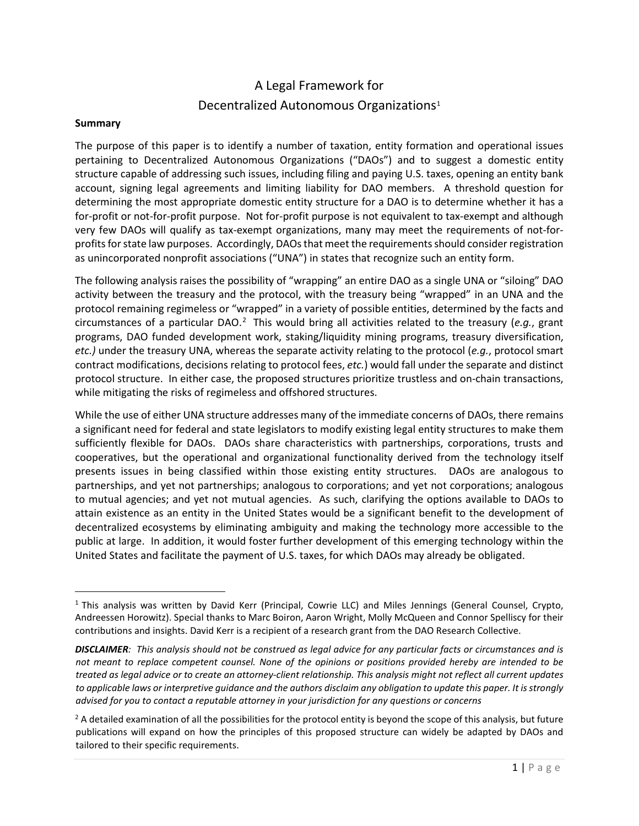# A Legal Framework for Decentralized Autonomous Organizations<sup>[1](#page-0-0)</sup>

### **Summary**

The purpose of this paper is to identify a number of taxation, entity formation and operational issues pertaining to Decentralized Autonomous Organizations ("DAOs") and to suggest a domestic entity structure capable of addressing such issues, including filing and paying U.S. taxes, opening an entity bank account, signing legal agreements and limiting liability for DAO members. A threshold question for determining the most appropriate domestic entity structure for a DAO is to determine whether it has a for-profit or not-for-profit purpose. Not for-profit purpose is not equivalent to tax-exempt and although very few DAOs will qualify as tax-exempt organizations, many may meet the requirements of not-forprofits for state law purposes. Accordingly, DAOs that meet the requirements should consider registration as unincorporated nonprofit associations ("UNA") in states that recognize such an entity form.

The following analysis raises the possibility of "wrapping" an entire DAO as a single UNA or "siloing" DAO activity between the treasury and the protocol, with the treasury being "wrapped" in an UNA and the protocol remaining regimeless or "wrapped" in a variety of possible entities, determined by the facts and circumstances of a particular DAO.<sup>[2](#page-0-1)</sup> This would bring all activities related to the treasury (e.g., grant programs, DAO funded development work, staking/liquidity mining programs, treasury diversification, *etc.)* under the treasury UNA, whereas the separate activity relating to the protocol (*e.g.*, protocol smart contract modifications, decisions relating to protocol fees, *etc.*) would fall under the separate and distinct protocol structure. In either case, the proposed structures prioritize trustless and on-chain transactions, while mitigating the risks of regimeless and offshored structures.

While the use of either UNA structure addresses many of the immediate concerns of DAOs, there remains a significant need for federal and state legislators to modify existing legal entity structures to make them sufficiently flexible for DAOs. DAOs share characteristics with partnerships, corporations, trusts and cooperatives, but the operational and organizational functionality derived from the technology itself presents issues in being classified within those existing entity structures. DAOs are analogous to partnerships, and yet not partnerships; analogous to corporations; and yet not corporations; analogous to mutual agencies; and yet not mutual agencies. As such, clarifying the options available to DAOs to attain existence as an entity in the United States would be a significant benefit to the development of decentralized ecosystems by eliminating ambiguity and making the technology more accessible to the public at large. In addition, it would foster further development of this emerging technology within the United States and facilitate the payment of U.S. taxes, for which DAOs may already be obligated.

<span id="page-0-0"></span><sup>&</sup>lt;sup>1</sup> This analysis was written by David Kerr (Principal, Cowrie LLC) and Miles Jennings (General Counsel, Crypto, Andreessen Horowitz). Special thanks to Marc Boiron, Aaron Wright, Molly McQueen and Connor Spelliscy for their contributions and insights. David Kerr is a recipient of a research grant from the DAO Research Collective.

*DISCLAIMER: This analysis should not be construed as legal advice for any particular facts or circumstances and is not meant to replace competent counsel. None of the opinions or positions provided hereby are intended to be treated as legal advice or to create an attorney-client relationship. This analysis might not reflect all current updates to applicable laws or interpretive guidance and the authors disclaim any obligation to update this paper. It is strongly advised for you to contact a reputable attorney in your jurisdiction for any questions or concerns*

<span id="page-0-1"></span> $2A$  detailed examination of all the possibilities for the protocol entity is beyond the scope of this analysis, but future publications will expand on how the principles of this proposed structure can widely be adapted by DAOs and tailored to their specific requirements.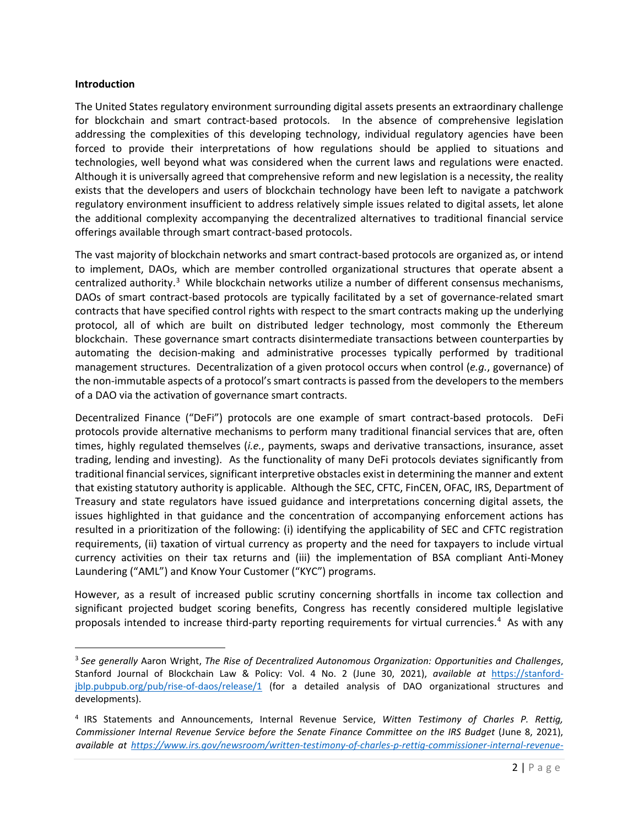### **Introduction**

The United States regulatory environment surrounding digital assets presents an extraordinary challenge for blockchain and smart contract-based protocols. In the absence of comprehensive legislation addressing the complexities of this developing technology, individual regulatory agencies have been forced to provide their interpretations of how regulations should be applied to situations and technologies, well beyond what was considered when the current laws and regulations were enacted. Although it is universally agreed that comprehensive reform and new legislation is a necessity, the reality exists that the developers and users of blockchain technology have been left to navigate a patchwork regulatory environment insufficient to address relatively simple issues related to digital assets, let alone the additional complexity accompanying the decentralized alternatives to traditional financial service offerings available through smart contract-based protocols.

The vast majority of blockchain networks and smart contract-based protocols are organized as, or intend to implement, DAOs, which are member controlled organizational structures that operate absent a centralized authority.<sup>[3](#page-1-0)</sup> While blockchain networks utilize a number of different consensus mechanisms, DAOs of smart contract-based protocols are typically facilitated by a set of governance-related smart contracts that have specified control rights with respect to the smart contracts making up the underlying protocol, all of which are built on distributed ledger technology, most commonly the Ethereum blockchain. These governance smart contracts disintermediate transactions between counterparties by automating the decision-making and administrative processes typically performed by traditional management structures. Decentralization of a given protocol occurs when control (*e.g.*, governance) of the non-immutable aspects of a protocol's smart contracts is passed from the developers to the members of a DAO via the activation of governance smart contracts.

Decentralized Finance ("DeFi") protocols are one example of smart contract-based protocols. DeFi protocols provide alternative mechanisms to perform many traditional financial services that are, often times, highly regulated themselves (*i.e.*, payments, swaps and derivative transactions, insurance, asset trading, lending and investing). As the functionality of many DeFi protocols deviates significantly from traditional financial services, significant interpretive obstacles exist in determining the manner and extent that existing statutory authority is applicable. Although the SEC, CFTC, FinCEN, OFAC, IRS, Department of Treasury and state regulators have issued guidance and interpretations concerning digital assets, the issues highlighted in that guidance and the concentration of accompanying enforcement actions has resulted in a prioritization of the following: (i) identifying the applicability of SEC and CFTC registration requirements, (ii) taxation of virtual currency as property and the need for taxpayers to include virtual currency activities on their tax returns and (iii) the implementation of BSA compliant Anti-Money Laundering ("AML") and Know Your Customer ("KYC") programs.

However, as a result of increased public scrutiny concerning shortfalls in income tax collection and significant projected budget scoring benefits, Congress has recently considered multiple legislative proposals intended to increase third-party reporting requirements for virtual currencies.<sup>[4](#page-1-1)</sup> As with any

<span id="page-1-0"></span><sup>3</sup> *See generally* Aaron Wright, *The Rise of Decentralized Autonomous Organization: Opportunities and Challenges*, Stanford Journal of Blockchain Law & Policy: Vol. 4 No. 2 (June 30, 2021), *available at* [https://stanford](https://stanford-jblp.pubpub.org/pub/rise-of-daos/release/1)[jblp.pubpub.org/pub/rise-of-daos/release/1](https://stanford-jblp.pubpub.org/pub/rise-of-daos/release/1) (for a detailed analysis of DAO organizational structures and developments).

<span id="page-1-1"></span><sup>4</sup> IRS Statements and Announcements, Internal Revenue Service, *Witten Testimony of Charles P. Rettig, Commissioner Internal Revenue Service before the Senate Finance Committee on the IRS Budget* (June 8, 2021), *available at [https://www.irs.gov/newsroom/written-testimony-of-charles-p-rettig-commissioner-internal-revenue-](https://www.irs.gov/newsroom/written-testimony-of-charles-p-rettig-commissioner-internal-revenue-service-before-the-senate-finance-committee-on-the-irs-budget)*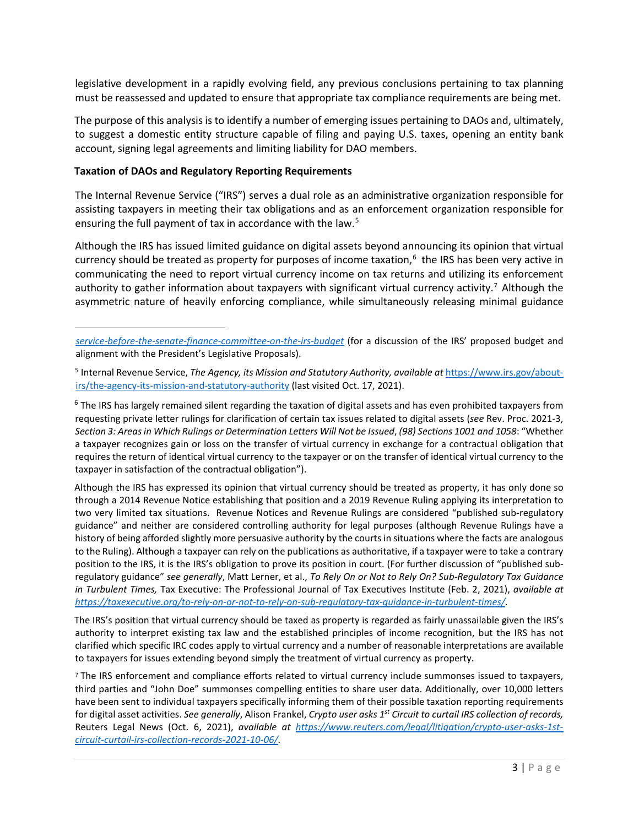legislative development in a rapidly evolving field, any previous conclusions pertaining to tax planning must be reassessed and updated to ensure that appropriate tax compliance requirements are being met.

The purpose of this analysis is to identify a number of emerging issues pertaining to DAOs and, ultimately, to suggest a domestic entity structure capable of filing and paying U.S. taxes, opening an entity bank account, signing legal agreements and limiting liability for DAO members.

#### **Taxation of DAOs and Regulatory Reporting Requirements**

The Internal Revenue Service ("IRS") serves a dual role as an administrative organization responsible for assisting taxpayers in meeting their tax obligations and as an enforcement organization responsible for ensuring the full payment of tax in accordance with the law.<sup>5</sup>

Although the IRS has issued limited guidance on digital assets beyond announcing its opinion that virtual currency should be treated as property for purposes of income taxation, [6](#page-2-1) the IRS has been very active in communicating the need to report virtual currency income on tax returns and utilizing its enforcement authority to gather information about taxpayers with significant virtual currency activity.<sup>7</sup> Although the asymmetric nature of heavily enforcing compliance, while simultaneously releasing minimal guidance

<span id="page-2-1"></span> $6$  The IRS has largely remained silent regarding the taxation of digital assets and has even prohibited taxpayers from requesting private letter rulings for clarification of certain tax issues related to digital assets (*see* Rev. Proc. 2021-3, *Section 3: Areas in Which Rulings or Determination Letters Will Not be Issued*, *(98) Sections 1001 and 1058*: "Whether a taxpayer recognizes gain or loss on the transfer of virtual currency in exchange for a contractual obligation that requires the return of identical virtual currency to the taxpayer or on the transfer of identical virtual currency to the taxpayer in satisfaction of the contractual obligation").

Although the IRS has expressed its opinion that virtual currency should be treated as property, it has only done so through a 2014 Revenue Notice establishing that position and a 2019 Revenue Ruling applying its interpretation to two very limited tax situations. Revenue Notices and Revenue Rulings are considered "published sub-regulatory guidance" and neither are considered controlling authority for legal purposes (although Revenue Rulings have a history of being afforded slightly more persuasive authority by the courts in situations where the facts are analogous to the Ruling). Although a taxpayer can rely on the publications as authoritative, if a taxpayer were to take a contrary position to the IRS, it is the IRS's obligation to prove its position in court. (For further discussion of "published subregulatory guidance" *see generally*, Matt Lerner, et al., *To Rely On or Not to Rely On? Sub-Regulatory Tax Guidance in Turbulent Times,* Tax Executive: The Professional Journal of Tax Executives Institute (Feb. 2, 2021), *available at [https://taxexecutive.org/to-rely-on-or-not-to-rely-on-sub-regulatory-tax-guidance-in-turbulent-times/.](https://taxexecutive.org/to-rely-on-or-not-to-rely-on-sub-regulatory-tax-guidance-in-turbulent-times/)* 

The IRS's position that virtual currency should be taxed as property is regarded as fairly unassailable given the IRS's authority to interpret existing tax law and the established principles of income recognition, but the IRS has not clarified which specific IRC codes apply to virtual currency and a number of reasonable interpretations are available to taxpayers for issues extending beyond simply the treatment of virtual currency as property.

<span id="page-2-2"></span><sup>7</sup> The IRS enforcement and compliance efforts related to virtual currency include summonses issued to taxpayers, third parties and "John Doe" summonses compelling entities to share user data. Additionally, over 10,000 letters have been sent to individual taxpayers specifically informing them of their possible taxation reporting requirements for digital asset activities. *See generally*, Alison Frankel, *Crypto user asks 1st Circuit to curtail IRS collection of records,*  Reuters Legal News (Oct. 6, 2021), *available at [https://www.reuters.com/legal/litigation/crypto-user-asks-1st](https://www.reuters.com/legal/litigation/crypto-user-asks-1st-circuit-curtail-irs-collection-records-2021-10-06/)[circuit-curtail-irs-collection-records-2021-10-06/.](https://www.reuters.com/legal/litigation/crypto-user-asks-1st-circuit-curtail-irs-collection-records-2021-10-06/)* 

*[service-before-the-senate-finance-committee-on-the-irs-budget](https://www.irs.gov/newsroom/written-testimony-of-charles-p-rettig-commissioner-internal-revenue-service-before-the-senate-finance-committee-on-the-irs-budget)* (for a discussion of the IRS' proposed budget and alignment with the President's Legislative Proposals).

<span id="page-2-0"></span><sup>5</sup> Internal Revenue Service, *The Agency, its Mission and Statutory Authority, available at* [https://www.irs.gov/about](https://www.irs.gov/about-irs/the-agency-its-mission-and-statutory-authority)[irs/the-agency-its-mission-and-statutory-authority](https://www.irs.gov/about-irs/the-agency-its-mission-and-statutory-authority) (last visited Oct. 17, 2021).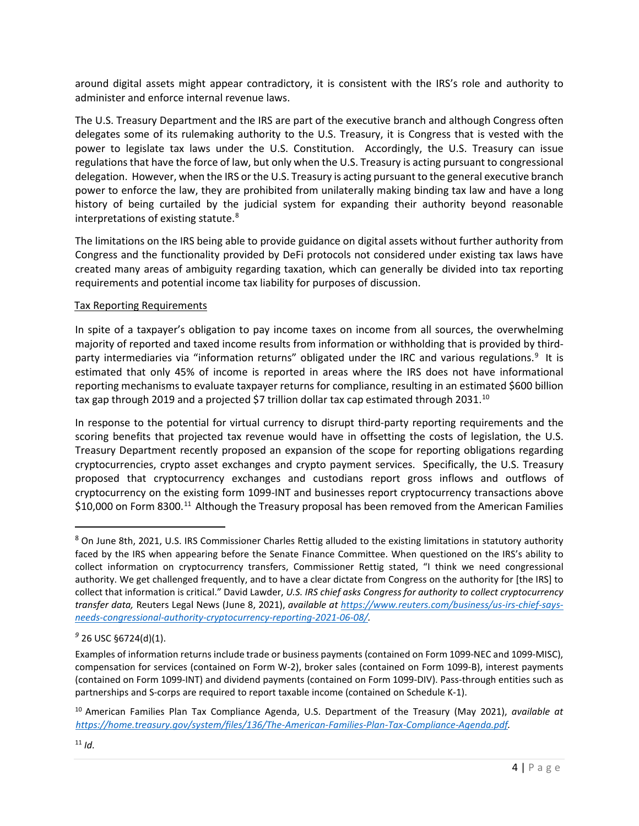around digital assets might appear contradictory, it is consistent with the IRS's role and authority to administer and enforce internal revenue laws.

The U.S. Treasury Department and the IRS are part of the executive branch and although Congress often delegates some of its rulemaking authority to the U.S. Treasury, it is Congress that is vested with the power to legislate tax laws under the U.S. Constitution. Accordingly, the U.S. Treasury can issue regulations that have the force of law, but only when the U.S. Treasury is acting pursuant to congressional delegation. However, when the IRS or the U.S. Treasury is acting pursuant to the general executive branch power to enforce the law, they are prohibited from unilaterally making binding tax law and have a long history of being curtailed by the judicial system for expanding their authority beyond reasonable interpretations of existing statute.<sup>8</sup>

The limitations on the IRS being able to provide guidance on digital assets without further authority from Congress and the functionality provided by DeFi protocols not considered under existing tax laws have created many areas of ambiguity regarding taxation, which can generally be divided into tax reporting requirements and potential income tax liability for purposes of discussion.

### Tax Reporting Requirements

In spite of a taxpayer's obligation to pay income taxes on income from all sources, the overwhelming majority of reported and taxed income results from information or withholding that is provided by third-party intermediaries via "information returns" obligated under the IRC and various regulations.<sup>[9](#page-3-1)</sup> It is estimated that only 45% of income is reported in areas where the IRS does not have informational reporting mechanisms to evaluate taxpayer returns for compliance, resulting in an estimated \$600 billion tax gap through 2019 and a projected \$7 trillion dollar tax cap estimated through 2031. $^{10}$  $^{10}$  $^{10}$ 

In response to the potential for virtual currency to disrupt third-party reporting requirements and the scoring benefits that projected tax revenue would have in offsetting the costs of legislation, the U.S. Treasury Department recently proposed an expansion of the scope for reporting obligations regarding cryptocurrencies, crypto asset exchanges and crypto payment services. Specifically, the U.S. Treasury proposed that cryptocurrency exchanges and custodians report gross inflows and outflows of cryptocurrency on the existing form 1099-INT and businesses report cryptocurrency transactions above \$10,000 on Form 8300.<sup>[11](#page-3-3)</sup> Although the Treasury proposal has been removed from the American Families

<span id="page-3-0"></span> $8$  On June 8th, 2021, U.S. IRS Commissioner Charles Rettig alluded to the existing limitations in statutory authority faced by the IRS when appearing before the Senate Finance Committee. When questioned on the IRS's ability to collect information on cryptocurrency transfers, Commissioner Rettig stated, "I think we need congressional authority. We get challenged frequently, and to have a clear dictate from Congress on the authority for [the IRS] to collect that information is critical." David Lawder, *U.S. IRS chief asks Congress for authority to collect cryptocurrency transfer data,* Reuters Legal News (June 8, 2021), *available at [https://www.reuters.com/business/us-irs-chief-says](https://www.reuters.com/business/us-irs-chief-says-needs-congressional-authority-cryptocurrency-reporting-2021-06-08/)[needs-congressional-authority-cryptocurrency-reporting-2021-06-08/.](https://www.reuters.com/business/us-irs-chief-says-needs-congressional-authority-cryptocurrency-reporting-2021-06-08/)* 

<span id="page-3-1"></span>*<sup>9</sup>* 26 USC §6724(d)(1).

Examples of information returns include trade or business payments (contained on Form 1099-NEC and 1099-MISC), compensation for services (contained on Form W-2), broker sales (contained on Form 1099-B), interest payments (contained on Form 1099-INT) and dividend payments (contained on Form 1099-DIV). Pass-through entities such as partnerships and S-corps are required to report taxable income (contained on Schedule K-1).

<span id="page-3-3"></span><span id="page-3-2"></span><sup>10</sup> American Families Plan Tax Compliance Agenda, U.S. Department of the Treasury (May 2021), *available at [https://home.treasury.gov/system/files/136/The-American-Families-Plan-Tax-Compliance-Agenda.pdf.](https://home.treasury.gov/system/files/136/The-American-Families-Plan-Tax-Compliance-Agenda.pdf)*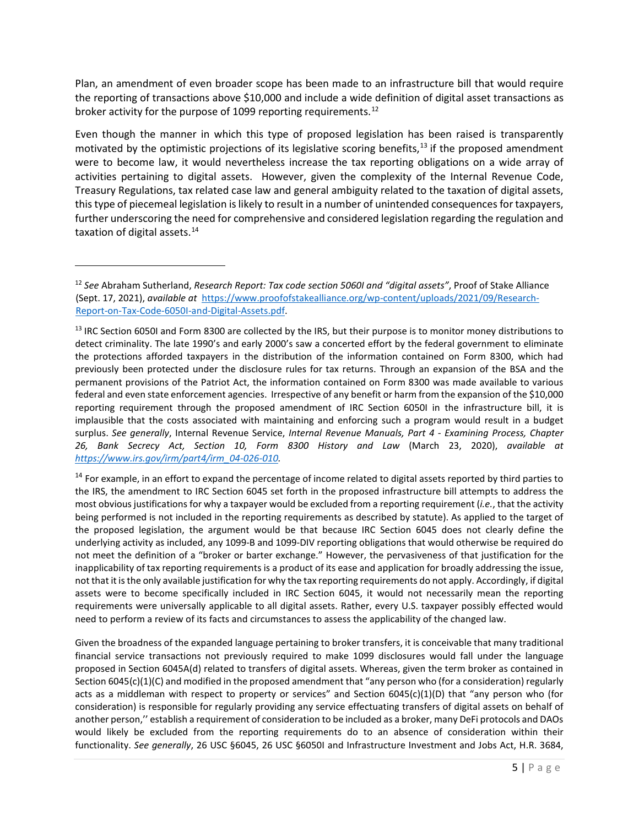Plan, an amendment of even broader scope has been made to an infrastructure bill that would require the reporting of transactions above \$10,000 and include a wide definition of digital asset transactions as broker activity for the purpose of 1099 reporting requirements.<sup>[12](#page-4-0)</sup>

Even though the manner in which this type of proposed legislation has been raised is transparently motivated by the optimistic projections of its legislative scoring benefits,<sup>[13](#page-4-1)</sup> if the proposed amendment were to become law, it would nevertheless increase the tax reporting obligations on a wide array of activities pertaining to digital assets. However, given the complexity of the Internal Revenue Code, Treasury Regulations, tax related case law and general ambiguity related to the taxation of digital assets, this type of piecemeal legislation is likely to result in a number of unintended consequences for taxpayers, further underscoring the need for comprehensive and considered legislation regarding the regulation and taxation of digital assets.<sup>14</sup>

<span id="page-4-1"></span><sup>13</sup> IRC Section 6050I and Form 8300 are collected by the IRS, but their purpose is to monitor money distributions to detect criminality. The late 1990's and early 2000's saw a concerted effort by the federal government to eliminate the protections afforded taxpayers in the distribution of the information contained on Form 8300, which had previously been protected under the disclosure rules for tax returns. Through an expansion of the BSA and the permanent provisions of the Patriot Act, the information contained on Form 8300 was made available to various federal and even state enforcement agencies. Irrespective of any benefit or harm from the expansion of the \$10,000 reporting requirement through the proposed amendment of IRC Section 6050I in the infrastructure bill, it is implausible that the costs associated with maintaining and enforcing such a program would result in a budget surplus. *See generally*, Internal Revenue Service, *Internal Revenue Manuals, Part 4 - Examining Process, Chapter 26, Bank Secrecy Act, Section 10, Form 8300 History and Law* (March 23, 2020), *available at [https://www.irs.gov/irm/part4/irm\\_04-026-010.](https://www.irs.gov/irm/part4/irm_04-026-010)* 

<span id="page-4-2"></span> $14$  For example, in an effort to expand the percentage of income related to digital assets reported by third parties to the IRS, the amendment to IRC Section 6045 set forth in the proposed infrastructure bill attempts to address the most obvious justifications for why a taxpayer would be excluded from a reporting requirement (*i.e.*, that the activity being performed is not included in the reporting requirements as described by statute). As applied to the target of the proposed legislation, the argument would be that because IRC Section 6045 does not clearly define the underlying activity as included, any 1099-B and 1099-DIV reporting obligations that would otherwise be required do not meet the definition of a "broker or barter exchange." However, the pervasiveness of that justification for the inapplicability of tax reporting requirements is a product of its ease and application for broadly addressing the issue, not that it is the only available justification for why the tax reporting requirements do not apply. Accordingly, if digital assets were to become specifically included in IRC Section 6045, it would not necessarily mean the reporting requirements were universally applicable to all digital assets. Rather, every U.S. taxpayer possibly effected would need to perform a review of its facts and circumstances to assess the applicability of the changed law.

Given the broadness of the expanded language pertaining to broker transfers, it is conceivable that many traditional financial service transactions not previously required to make 1099 disclosures would fall under the language proposed in Section 6045A(d) related to transfers of digital assets. Whereas, given the term broker as contained in Section 6045(c)(1)(C) and modified in the proposed amendment that "any person who (for a consideration) regularly acts as a middleman with respect to property or services" and Section 6045(c)(1)(D) that "any person who (for consideration) is responsible for regularly providing any service effectuating transfers of digital assets on behalf of another person,'' establish a requirement of consideration to be included as a broker, many DeFi protocols and DAOs would likely be excluded from the reporting requirements do to an absence of consideration within their functionality. *See generally*, 26 USC §6045, 26 USC §6050I and Infrastructure Investment and Jobs Act, H.R. 3684,

<span id="page-4-0"></span><sup>12</sup> *See* Abraham Sutherland, *Research Report: Tax code section 5060I and "digital assets"*, Proof of Stake Alliance (Sept. 17, 2021), *available at* [https://www.proofofstakealliance.org/wp-content/uploads/2021/09/Research-](https://www.proofofstakealliance.org/wp-content/uploads/2021/09/Research-Report-on-Tax-Code-6050I-and-Digital-Assets.pdf)[Report-on-Tax-Code-6050I-and-Digital-Assets.pdf.](https://www.proofofstakealliance.org/wp-content/uploads/2021/09/Research-Report-on-Tax-Code-6050I-and-Digital-Assets.pdf)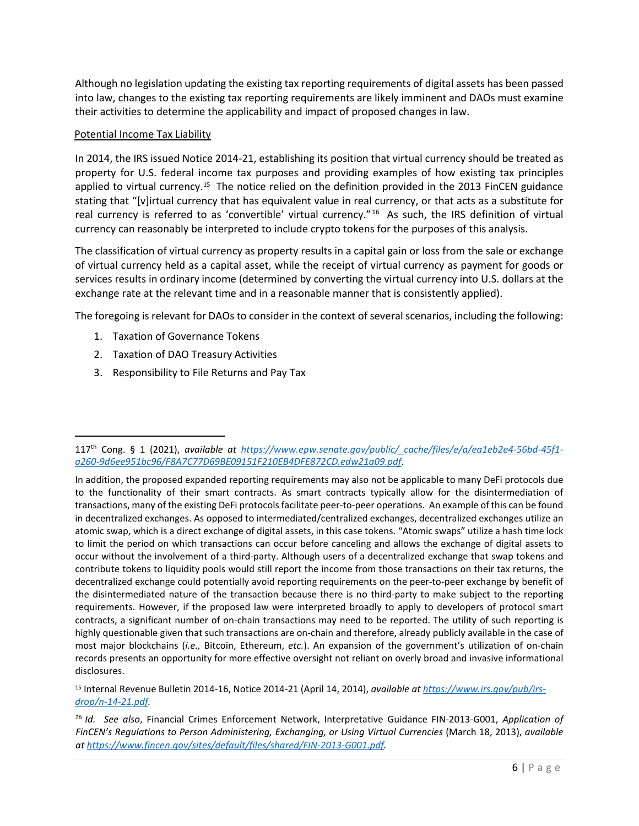Although no legislation updating the existing tax reporting requirements of digital assets has been passed into law, changes to the existing tax reporting requirements are likely imminent and DAOs must examine their activities to determine the applicability and impact of proposed changes in law.

### Potential Income Tax Liability

In 2014, the IRS issued Notice 2014-21, establishing its position that virtual currency should be treated as property for U.S. federal income tax purposes and providing examples of how existing tax principles applied to virtual currency.<sup>[15](#page-5-0)</sup> The notice relied on the definition provided in the 2013 FinCEN guidance stating that "[v]irtual currency that has equivalent value in real currency, or that acts as a substitute for real currency is referred to as 'convertible' virtual currency."<sup>[16](#page-5-1)</sup> As such, the IRS definition of virtual currency can reasonably be interpreted to include crypto tokens for the purposes of this analysis.

The classification of virtual currency as property results in a capital gain or loss from the sale or exchange of virtual currency held as a capital asset, while the receipt of virtual currency as payment for goods or services results in ordinary income (determined by converting the virtual currency into U.S. dollars at the exchange rate at the relevant time and in a reasonable manner that is consistently applied).

The foregoing is relevant for DAOs to consider in the context of several scenarios, including the following:

- 1. Taxation of Governance Tokens
- 2. Taxation of DAO Treasury Activities
- 3. Responsibility to File Returns and Pay Tax

<span id="page-5-0"></span><sup>15</sup> Internal Revenue Bulletin 2014-16, Notice 2014-21 (April 14, 2014), *available a[t https://www.irs.gov/pub/irs](https://www.irs.gov/pub/irs-drop/n-14-21.pdf)[drop/n-14-21.pdf.](https://www.irs.gov/pub/irs-drop/n-14-21.pdf)* 

<sup>117</sup>th Cong. § 1 (2021), *available at [https://www.epw.senate.gov/public/\\_cache/files/e/a/ea1eb2e4-56bd-45f1](https://www.epw.senate.gov/public/_cache/files/e/a/ea1eb2e4-56bd-45f1-a260-9d6ee951bc96/F8A7C77D69BE09151F210EB4DFE872CD.edw21a09.pdf) [a260-9d6ee951bc96/F8A7C77D69BE09151F210EB4DFE872CD.edw21a09.pdf](https://www.epw.senate.gov/public/_cache/files/e/a/ea1eb2e4-56bd-45f1-a260-9d6ee951bc96/F8A7C77D69BE09151F210EB4DFE872CD.edw21a09.pdf)*.

In addition, the proposed expanded reporting requirements may also not be applicable to many DeFi protocols due to the functionality of their smart contracts. As smart contracts typically allow for the disintermediation of transactions, many of the existing DeFi protocols facilitate peer-to-peer operations. An example of this can be found in decentralized exchanges. As opposed to intermediated/centralized exchanges, decentralized exchanges utilize an atomic swap, which is a direct exchange of digital assets, in this case tokens. "Atomic swaps" utilize a hash time lock to limit the period on which transactions can occur before canceling and allows the exchange of digital assets to occur without the involvement of a third-party. Although users of a decentralized exchange that swap tokens and contribute tokens to liquidity pools would still report the income from those transactions on their tax returns, the decentralized exchange could potentially avoid reporting requirements on the peer-to-peer exchange by benefit of the disintermediated nature of the transaction because there is no third-party to make subject to the reporting requirements. However, if the proposed law were interpreted broadly to apply to developers of protocol smart contracts, a significant number of on-chain transactions may need to be reported. The utility of such reporting is highly questionable given that such transactions are on-chain and therefore, already publicly available in the case of most major blockchains (*i.e.,* Bitcoin, Ethereum, *etc.*). An expansion of the government's utilization of on-chain records presents an opportunity for more effective oversight not reliant on overly broad and invasive informational disclosures.

<span id="page-5-1"></span>*<sup>16</sup> Id. See also*, Financial Crimes Enforcement Network, Interpretative Guidance FIN-2013-G001, *Application of FinCEN's Regulations to Person Administering, Exchanging, or Using Virtual Currencies* (March 18, 2013), *available at [https://www.fincen.gov/sites/default/files/shared/FIN-2013-G001.pdf.](https://www.fincen.gov/sites/default/files/shared/FIN-2013-G001.pdf)*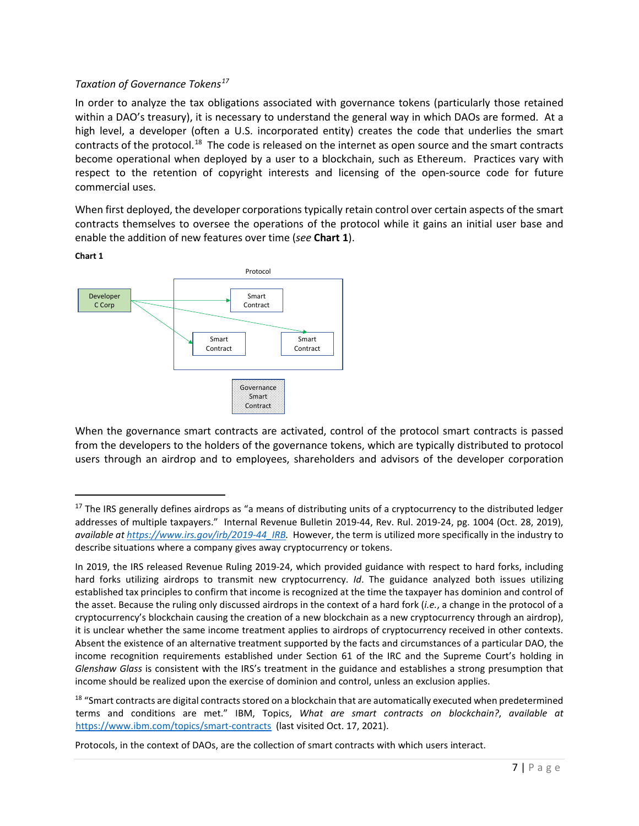# *Taxation of Governance Tokens[17](#page-6-0)*

In order to analyze the tax obligations associated with governance tokens (particularly those retained within a DAO's treasury), it is necessary to understand the general way in which DAOs are formed. At a high level, a developer (often a U.S. incorporated entity) creates the code that underlies the smart contracts of the protocol.<sup>18</sup> The code is released on the internet as open source and the smart contracts become operational when deployed by a user to a blockchain, such as Ethereum. Practices vary with respect to the retention of copyright interests and licensing of the open-source code for future commercial uses.

When first deployed, the developer corporations typically retain control over certain aspects of the smart contracts themselves to oversee the operations of the protocol while it gains an initial user base and enable the addition of new features over time (*see* **Chart 1**).



When the governance smart contracts are activated, control of the protocol smart contracts is passed from the developers to the holders of the governance tokens, which are typically distributed to protocol users through an airdrop and to employees, shareholders and advisors of the developer corporation

<span id="page-6-0"></span> $17$  The IRS generally defines airdrops as "a means of distributing units of a cryptocurrency to the distributed ledger addresses of multiple taxpayers." Internal Revenue Bulletin 2019-44, Rev. Rul. 2019-24, pg. 1004 (Oct. 28, 2019), *available a[t https://www.irs.gov/irb/2019-44\\_IRB.](https://www.irs.gov/irb/2019-44_IRB)* However, the term is utilized more specifically in the industry to describe situations where a company gives away cryptocurrency or tokens.

In 2019, the IRS released Revenue Ruling 2019-24, which provided guidance with respect to hard forks, including hard forks utilizing airdrops to transmit new cryptocurrency. *Id*. The guidance analyzed both issues utilizing established tax principles to confirm that income is recognized at the time the taxpayer has dominion and control of the asset. Because the ruling only discussed airdrops in the context of a hard fork (*i.e.*, a change in the protocol of a cryptocurrency's blockchain causing the creation of a new blockchain as a new cryptocurrency through an airdrop), it is unclear whether the same income treatment applies to airdrops of cryptocurrency received in other contexts. Absent the existence of an alternative treatment supported by the facts and circumstances of a particular DAO, the income recognition requirements established under Section 61 of the IRC and the Supreme Court's holding in *Glenshaw Glass* is consistent with the IRS's treatment in the guidance and establishes a strong presumption that income should be realized upon the exercise of dominion and control, unless an exclusion applies.

<span id="page-6-1"></span><sup>&</sup>lt;sup>18</sup> "Smart contracts are digital contracts stored on a blockchain that are automatically executed when predetermined terms and conditions are met." IBM, Topics, *What are smart contracts on blockchain?*, *available at* <https://www.ibm.com/topics/smart-contracts> (last visited Oct. 17, 2021).

Protocols, in the context of DAOs, are the collection of smart contracts with which users interact.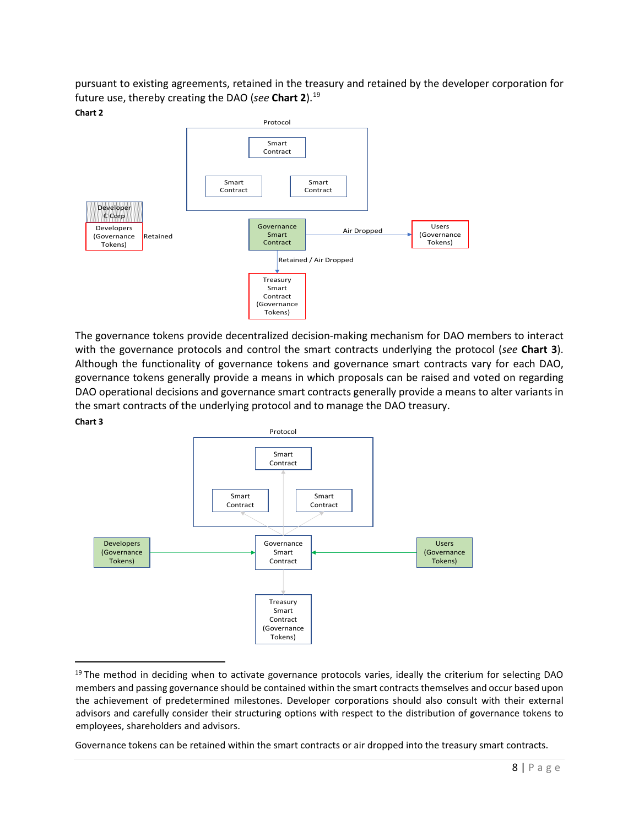pursuant to existing agreements, retained in the treasury and retained by the developer corporation for future use, thereby creating the DAO (*see* **Chart 2**). [19](#page-7-0) 





The governance tokens provide decentralized decision-making mechanism for DAO members to interact with the governance protocols and control the smart contracts underlying the protocol (*see* **Chart 3**). Although the functionality of governance tokens and governance smart contracts vary for each DAO, governance tokens generally provide a means in which proposals can be raised and voted on regarding DAO operational decisions and governance smart contracts generally provide a means to alter variants in the smart contracts of the underlying protocol and to manage the DAO treasury.

#### **Chart 3**



<span id="page-7-0"></span> $19$  The method in deciding when to activate governance protocols varies, ideally the criterium for selecting DAO members and passing governance should be contained within the smart contracts themselves and occur based upon the achievement of predetermined milestones. Developer corporations should also consult with their external advisors and carefully consider their structuring options with respect to the distribution of governance tokens to employees, shareholders and advisors.

Governance tokens can be retained within the smart contracts or air dropped into the treasury smart contracts.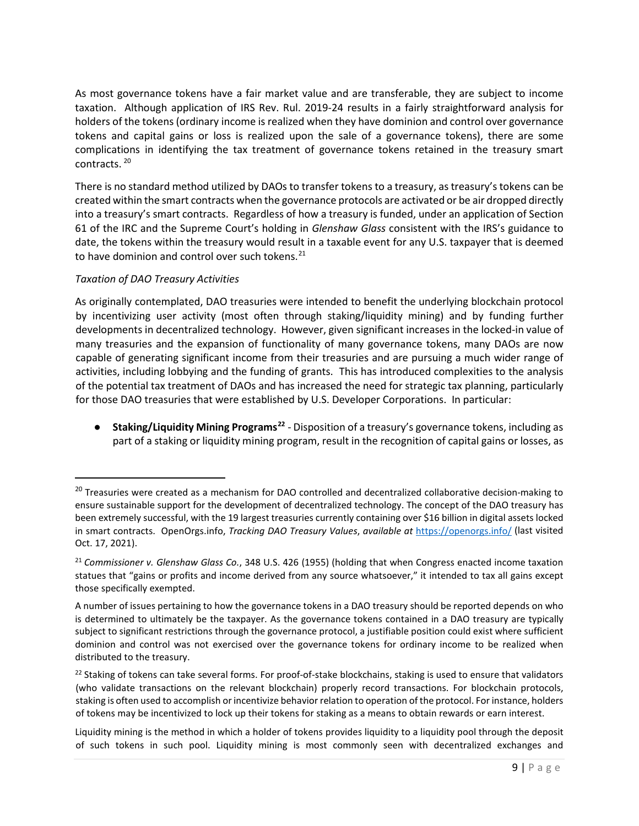As most governance tokens have a fair market value and are transferable, they are subject to income taxation. Although application of IRS Rev. Rul. 2019-24 results in a fairly straightforward analysis for holders of the tokens (ordinary income is realized when they have dominion and control over governance tokens and capital gains or loss is realized upon the sale of a governance tokens), there are some complications in identifying the tax treatment of governance tokens retained in the treasury smart contracts. [20](#page-8-0) 

There is no standard method utilized by DAOs to transfer tokens to a treasury, as treasury's tokens can be created within the smart contracts when the governance protocols are activated or be air dropped directly into a treasury's smart contracts. Regardless of how a treasury is funded, under an application of Section 61 of the IRC and the Supreme Court's holding in *Glenshaw Glass* consistent with the IRS's guidance to date, the tokens within the treasury would result in a taxable event for any U.S. taxpayer that is deemed to have dominion and control over such tokens.<sup>[21](#page-8-1)</sup>

# *Taxation of DAO Treasury Activities*

As originally contemplated, DAO treasuries were intended to benefit the underlying blockchain protocol by incentivizing user activity (most often through staking/liquidity mining) and by funding further developments in decentralized technology. However, given significant increases in the locked-in value of many treasuries and the expansion of functionality of many governance tokens, many DAOs are now capable of generating significant income from their treasuries and are pursuing a much wider range of activities, including lobbying and the funding of grants. This has introduced complexities to the analysis of the potential tax treatment of DAOs and has increased the need for strategic tax planning, particularly for those DAO treasuries that were established by U.S. Developer Corporations. In particular:

● **Staking/Liquidity Mining Programs[22](#page-8-2)** - Disposition of a treasury's governance tokens, including as part of a staking or liquidity mining program, result in the recognition of capital gains or losses, as

<span id="page-8-0"></span><sup>&</sup>lt;sup>20</sup> Treasuries were created as a mechanism for DAO controlled and decentralized collaborative decision-making to ensure sustainable support for the development of decentralized technology. The concept of the DAO treasury has been extremely successful, with the 19 largest treasuries currently containing over \$16 billion in digital assets locked in smart contracts. OpenOrgs.info, *Tracking DAO Treasury Values*, *available at* <https://openorgs.info/> (last visited Oct. 17, 2021).

<span id="page-8-1"></span><sup>21</sup> *Commissioner v. Glenshaw Glass Co.*, 348 U.S. 426 (1955) (holding that when Congress enacted income taxation statues that "gains or profits and income derived from any source whatsoever," it intended to tax all gains except those specifically exempted.

A number of issues pertaining to how the governance tokens in a DAO treasury should be reported depends on who is determined to ultimately be the taxpayer. As the governance tokens contained in a DAO treasury are typically subject to significant restrictions through the governance protocol, a justifiable position could exist where sufficient dominion and control was not exercised over the governance tokens for ordinary income to be realized when distributed to the treasury.

<span id="page-8-2"></span><sup>&</sup>lt;sup>22</sup> Staking of tokens can take several forms. For proof-of-stake blockchains, staking is used to ensure that validators (who validate transactions on the relevant blockchain) properly record transactions. For blockchain protocols, staking is often used to accomplish or incentivize behavior relation to operation of the protocol. For instance, holders of tokens may be incentivized to lock up their tokens for staking as a means to obtain rewards or earn interest.

Liquidity mining is the method in which a holder of tokens provides liquidity to a liquidity pool through the deposit of such tokens in such pool. Liquidity mining is most commonly seen with decentralized exchanges and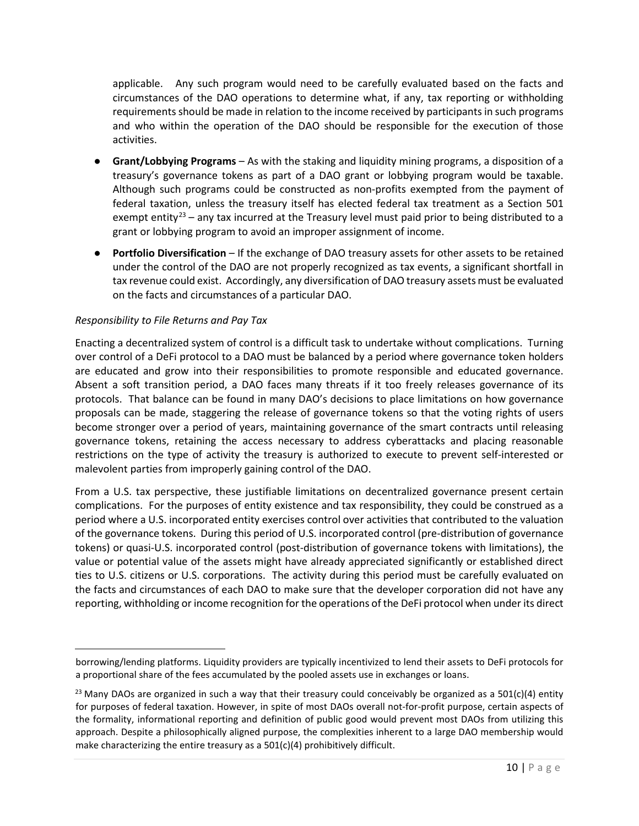applicable. Any such program would need to be carefully evaluated based on the facts and circumstances of the DAO operations to determine what, if any, tax reporting or withholding requirements should be made in relation to the income received by participants in such programs and who within the operation of the DAO should be responsible for the execution of those activities.

- **Grant/Lobbying Programs**  As with the staking and liquidity mining programs, a disposition of a treasury's governance tokens as part of a DAO grant or lobbying program would be taxable. Although such programs could be constructed as non-profits exempted from the payment of federal taxation, unless the treasury itself has elected federal tax treatment as a Section 501 exempt entity<sup>[23](#page-9-0)</sup> – any tax incurred at the Treasury level must paid prior to being distributed to a grant or lobbying program to avoid an improper assignment of income.
- **Portfolio Diversification**  If the exchange of DAO treasury assets for other assets to be retained under the control of the DAO are not properly recognized as tax events, a significant shortfall in tax revenue could exist. Accordingly, any diversification of DAO treasury assets must be evaluated on the facts and circumstances of a particular DAO.

#### *Responsibility to File Returns and Pay Tax*

Enacting a decentralized system of control is a difficult task to undertake without complications. Turning over control of a DeFi protocol to a DAO must be balanced by a period where governance token holders are educated and grow into their responsibilities to promote responsible and educated governance. Absent a soft transition period, a DAO faces many threats if it too freely releases governance of its protocols. That balance can be found in many DAO's decisions to place limitations on how governance proposals can be made, staggering the release of governance tokens so that the voting rights of users become stronger over a period of years, maintaining governance of the smart contracts until releasing governance tokens, retaining the access necessary to address cyberattacks and placing reasonable restrictions on the type of activity the treasury is authorized to execute to prevent self-interested or malevolent parties from improperly gaining control of the DAO.

From a U.S. tax perspective, these justifiable limitations on decentralized governance present certain complications. For the purposes of entity existence and tax responsibility, they could be construed as a period where a U.S. incorporated entity exercises control over activities that contributed to the valuation of the governance tokens. During this period of U.S. incorporated control (pre-distribution of governance tokens) or quasi-U.S. incorporated control (post-distribution of governance tokens with limitations), the value or potential value of the assets might have already appreciated significantly or established direct ties to U.S. citizens or U.S. corporations. The activity during this period must be carefully evaluated on the facts and circumstances of each DAO to make sure that the developer corporation did not have any reporting, withholding or income recognition for the operations of the DeFi protocol when under its direct

borrowing/lending platforms. Liquidity providers are typically incentivized to lend their assets to DeFi protocols for a proportional share of the fees accumulated by the pooled assets use in exchanges or loans.

<span id="page-9-0"></span><sup>&</sup>lt;sup>23</sup> Many DAOs are organized in such a way that their treasury could conceivably be organized as a 501(c)(4) entity for purposes of federal taxation. However, in spite of most DAOs overall not-for-profit purpose, certain aspects of the formality, informational reporting and definition of public good would prevent most DAOs from utilizing this approach. Despite a philosophically aligned purpose, the complexities inherent to a large DAO membership would make characterizing the entire treasury as a 501(c)(4) prohibitively difficult.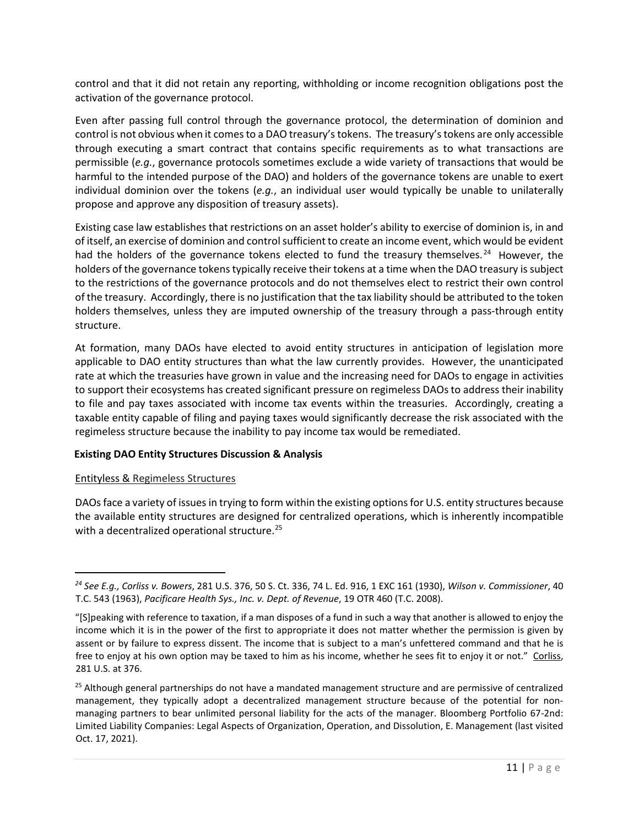control and that it did not retain any reporting, withholding or income recognition obligations post the activation of the governance protocol.

Even after passing full control through the governance protocol, the determination of dominion and control is not obvious when it comes to a DAO treasury's tokens. The treasury's tokens are only accessible through executing a smart contract that contains specific requirements as to what transactions are permissible (*e.g.*, governance protocols sometimes exclude a wide variety of transactions that would be harmful to the intended purpose of the DAO) and holders of the governance tokens are unable to exert individual dominion over the tokens (*e.g.*, an individual user would typically be unable to unilaterally propose and approve any disposition of treasury assets).

Existing case law establishes that restrictions on an asset holder's ability to exercise of dominion is, in and of itself, an exercise of dominion and control sufficient to create an income event, which would be evident had the holders of the governance tokens elected to fund the treasury themselves.<sup>[24](#page-10-0)</sup> However, the holders of the governance tokens typically receive their tokens at a time when the DAO treasury is subject to the restrictions of the governance protocols and do not themselves elect to restrict their own control of the treasury. Accordingly, there is no justification that the tax liability should be attributed to the token holders themselves, unless they are imputed ownership of the treasury through a pass-through entity structure.

At formation, many DAOs have elected to avoid entity structures in anticipation of legislation more applicable to DAO entity structures than what the law currently provides. However, the unanticipated rate at which the treasuries have grown in value and the increasing need for DAOs to engage in activities to support their ecosystems has created significant pressure on regimeless DAOs to address their inability to file and pay taxes associated with income tax events within the treasuries. Accordingly, creating a taxable entity capable of filing and paying taxes would significantly decrease the risk associated with the regimeless structure because the inability to pay income tax would be remediated.

### **Existing DAO Entity Structures Discussion & Analysis**

### Entityless & Regimeless Structures

DAOs face a variety of issues in trying to form within the existing options for U.S. entity structures because the available entity structures are designed for centralized operations, which is inherently incompatible with a decentralized operational structure.<sup>[25](#page-10-1)</sup>

<span id="page-10-0"></span>*<sup>24</sup> See E.g., Corliss v. Bowers*, 281 U.S. 376, 50 S. Ct. 336, 74 L. Ed. 916, 1 EXC 161 (1930), *[Wilson v. Commissioner](https://www.bloomberglaw.com/product/blaw/document/XAU72S?criteria_id=010dd01be37b12bb8f7424944f227481&searchGuid=d0a801ed-08b8-4fda-b7a2-82d59bba4ef2&jcsearch=10494314#jcite)*, 40 [T.C. 543 \(1963\),](https://www.bloomberglaw.com/product/blaw/document/XAU72S?criteria_id=010dd01be37b12bb8f7424944f227481&searchGuid=d0a801ed-08b8-4fda-b7a2-82d59bba4ef2&jcsearch=10494314#jcite) *Pacificare Health Sys., Inc. v. Dept. of Revenue*, 19 OTR 460 (T.C. 2008).

<sup>&</sup>quot;[S]peaking with reference to taxation, if a man disposes of a fund in such a way that another is allowed to enjoy the income which it is in the power of the first to appropriate it does not matter whether the permission is given by assent or by failure to express dissent. The income that is subject to a man's unfettered command and that he is free to enjoy at his own option may be taxed to him as his income, whether he sees fit to enjoy it or not." Corliss, 281 U.S. at 376.

<span id="page-10-1"></span><sup>&</sup>lt;sup>25</sup> Although general partnerships do not have a mandated management structure and are permissive of centralized management, they typically adopt a decentralized management structure because of the potential for nonmanaging partners to bear unlimited personal liability for the acts of the manager. Bloomberg Portfolio 67-2nd: Limited Liability Companies: Legal Aspects of Organization, Operation, and Dissolution, E. Management (last visited Oct. 17, 2021).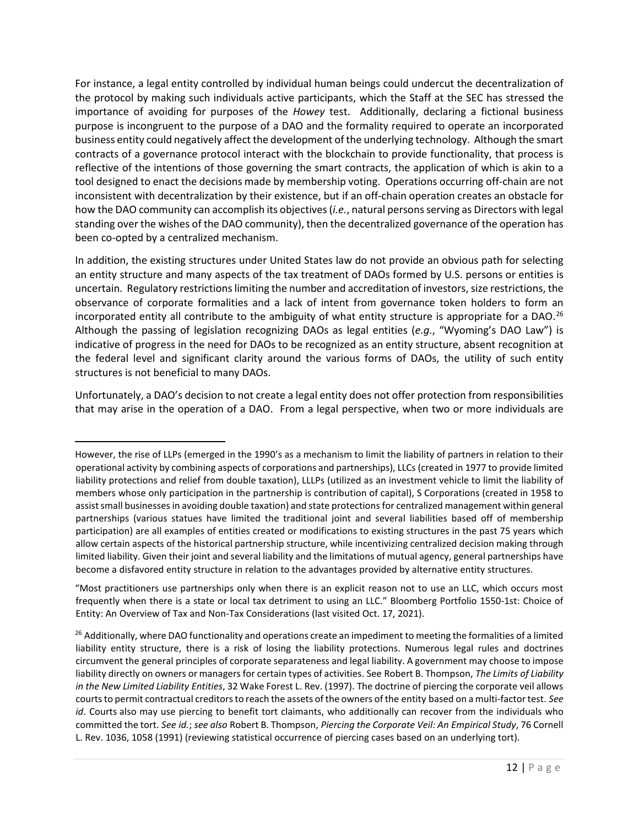For instance, a legal entity controlled by individual human beings could undercut the decentralization of the protocol by making such individuals active participants, which the Staff at the SEC has stressed the importance of avoiding for purposes of the *Howey* test. Additionally, declaring a fictional business purpose is incongruent to the purpose of a DAO and the formality required to operate an incorporated business entity could negatively affect the development of the underlying technology. Although the smart contracts of a governance protocol interact with the blockchain to provide functionality, that process is reflective of the intentions of those governing the smart contracts, the application of which is akin to a tool designed to enact the decisions made by membership voting. Operations occurring off-chain are not inconsistent with decentralization by their existence, but if an off-chain operation creates an obstacle for how the DAO community can accomplish its objectives (*i.e.*, natural persons serving as Directors with legal standing over the wishes of the DAO community), then the decentralized governance of the operation has been co-opted by a centralized mechanism.

In addition, the existing structures under United States law do not provide an obvious path for selecting an entity structure and many aspects of the tax treatment of DAOs formed by U.S. persons or entities is uncertain. Regulatory restrictions limiting the number and accreditation of investors, size restrictions, the observance of corporate formalities and a lack of intent from governance token holders to form an incorporated entity all contribute to the ambiguity of what entity structure is appropriate for a DAO.<sup>[26](#page-11-0)</sup> Although the passing of legislation recognizing DAOs as legal entities (*e.g.*, "Wyoming's DAO Law") is indicative of progress in the need for DAOs to be recognized as an entity structure, absent recognition at the federal level and significant clarity around the various forms of DAOs, the utility of such entity structures is not beneficial to many DAOs.

Unfortunately, a DAO's decision to not create a legal entity does not offer protection from responsibilities that may arise in the operation of a DAO. From a legal perspective, when two or more individuals are

However, the rise of LLPs (emerged in the 1990's as a mechanism to limit the liability of partners in relation to their operational activity by combining aspects of corporations and partnerships), LLCs (created in 1977 to provide limited liability protections and relief from double taxation), LLLPs (utilized as an investment vehicle to limit the liability of members whose only participation in the partnership is contribution of capital), S Corporations (created in 1958 to assist small businesses in avoiding double taxation) and state protections for centralized management within general partnerships (various statues have limited the traditional joint and several liabilities based off of membership participation) are all examples of entities created or modifications to existing structures in the past 75 years which allow certain aspects of the historical partnership structure, while incentivizing centralized decision making through limited liability. Given their joint and several liability and the limitations of mutual agency, general partnerships have become a disfavored entity structure in relation to the advantages provided by alternative entity structures.

<sup>&</sup>quot;Most practitioners use partnerships only when there is an explicit reason not to use an LLC, which occurs most frequently when there is a state or local tax detriment to using an LLC." Bloomberg [Portfolio 1550-1st: Choice of](javascript:jumpToTOCSource()  [Entity: An Overview of Tax and Non-Tax Considerations](javascript:jumpToTOCSource() (last visited Oct. 17, 2021).

<span id="page-11-0"></span> $26$  Additionally, where DAO functionality and operations create an impediment to meeting the formalities of a limited liability entity structure, there is a risk of losing the liability protections. Numerous legal rules and doctrines circumvent the general principles of corporate separateness and legal liability. A government may choose to impose liability directly on owners or managers for certain types of activities. See Robert B. Thompson, *The Limits of Liability in the New Limited Liability Entities*, 32 Wake Forest L. Rev. (1997). The doctrine of piercing the corporate veil allows courts to permit contractual creditors to reach the assets of the owners of the entity based on a multi-factor test. *See id*. Courts also may use piercing to benefit tort claimants, who additionally can recover from the individuals who committed the tort. *See id.*; *see also* Robert B. Thompson, *Piercing the Corporate Veil: An Empirical Study*, 76 Cornell L. Rev. 1036, 1058 (1991) (reviewing statistical occurrence of piercing cases based on an underlying tort).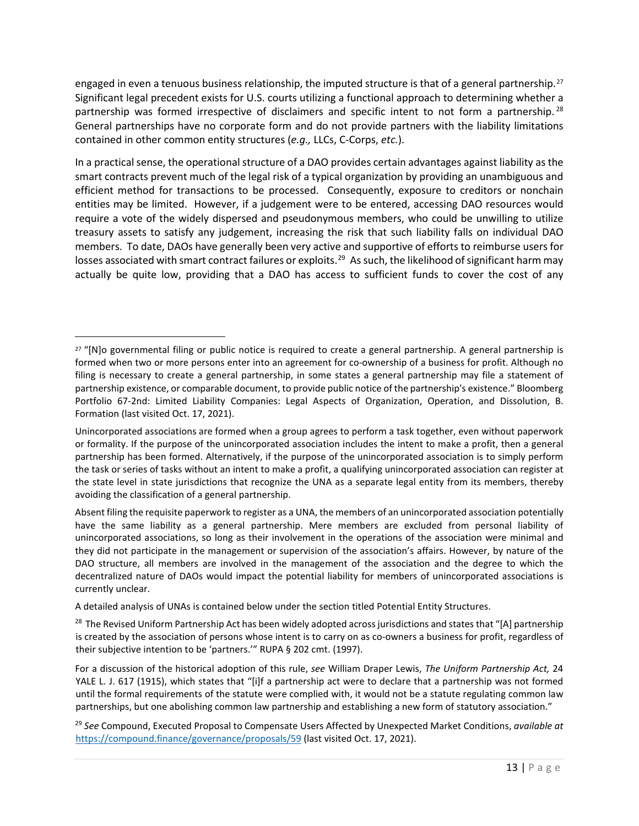engaged in even a tenuous business relationship, the imputed structure is that of a general partnership.<sup>[27](#page-12-0)</sup> Significant legal precedent exists for U.S. courts utilizing a functional approach to determining whether a partnership was formed irrespective of disclaimers and specific intent to not form a partnership.<sup>[28](#page-12-1)</sup> General partnerships have no corporate form and do not provide partners with the liability limitations contained in other common entity structures (*e.g.,* LLCs, C-Corps, *etc.*).

In a practical sense, the operational structure of a DAO provides certain advantages against liability as the smart contracts prevent much of the legal risk of a typical organization by providing an unambiguous and efficient method for transactions to be processed. Consequently, exposure to creditors or nonchain entities may be limited. However, if a judgement were to be entered, accessing DAO resources would require a vote of the widely dispersed and pseudonymous members, who could be unwilling to utilize treasury assets to satisfy any judgement, increasing the risk that such liability falls on individual DAO members. To date, DAOs have generally been very active and supportive of efforts to reimburse users for losses associated with smart contract failures or exploits.<sup>29</sup> As such, the likelihood of significant harm may actually be quite low, providing that a DAO has access to sufficient funds to cover the cost of any

A detailed analysis of UNAs is contained below under the section titled Potential Entity Structures.

<span id="page-12-0"></span><sup>&</sup>lt;sup>27</sup> "[N]o governmental filing or public notice is required to create a general partnership. A general partnership is formed when two or more persons enter into an agreement for co-ownership of a business for profit. Although no filing is necessary to create a general partnership, in some states a general partnership may file a statement of partnership existence, or comparable document, to provide public notice of the partnership's existence." Bloomberg Portfolio 67-2nd: Limited Liability Companies: Legal Aspects of Organization, Operation, and Dissolution, B. Formation (last visited Oct. 17, 2021).

Unincorporated associations are formed when a group agrees to perform a task together, even without paperwork or formality. If the purpose of the unincorporated association includes the intent to make a profit, then a general partnership has been formed. Alternatively, if the purpose of the unincorporated association is to simply perform the task or series of tasks without an intent to make a profit, a qualifying unincorporated association can register at the state level in state jurisdictions that recognize the UNA as a separate legal entity from its members, thereby avoiding the classification of a general partnership.

Absent filing the requisite paperwork to register as a UNA, the members of an unincorporated association potentially have the same liability as a general partnership. Mere members are excluded from personal liability of unincorporated associations, so long as their involvement in the operations of the association were minimal and they did not participate in the management or supervision of the association's affairs. However, by nature of the DAO structure, all members are involved in the management of the association and the degree to which the decentralized nature of DAOs would impact the potential liability for members of unincorporated associations is currently unclear.

<span id="page-12-1"></span><sup>&</sup>lt;sup>28</sup> The Revised Uniform Partnership Act has been widely adopted across jurisdictions and states that "[A] partnership is created by the association of persons whose intent is to carry on as co-owners a business for profit, regardless of their subjective intention to be 'partners.'" RUPA § 202 cmt. (1997).

For a discussion of the historical adoption of this rule, *see* William Draper Lewis, *The Uniform Partnership Act,* 24 YALE L. J. 617 (1915), which states that "[i]f a partnership act were to declare that a partnership was not formed until the formal requirements of the statute were complied with, it would not be a statute regulating common law partnerships, but one abolishing common law partnership and establishing a new form of statutory association."

<span id="page-12-2"></span><sup>29</sup> *See* Compound, Executed Proposal to Compensate Users Affected by Unexpected Market Conditions, *available at*  <https://compound.finance/governance/proposals/59> (last visited Oct. 17, 2021).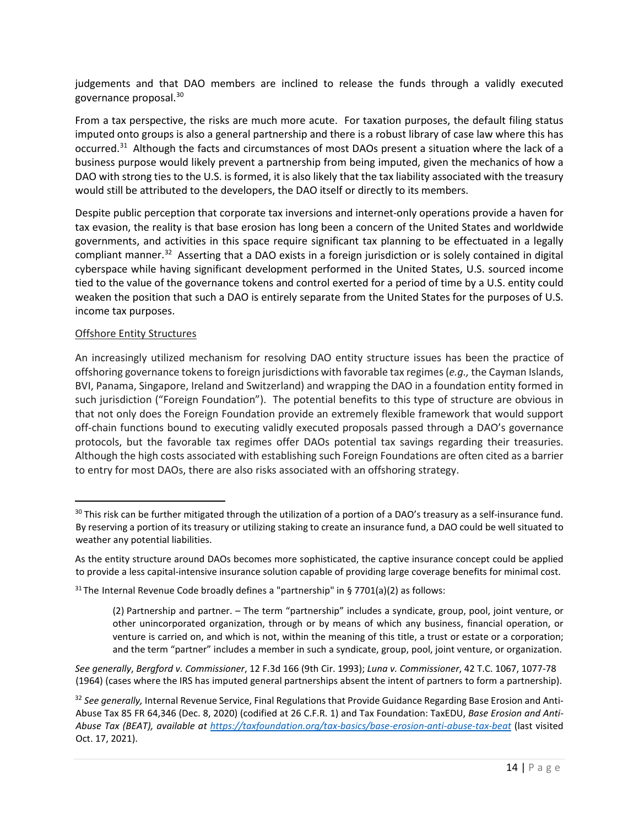judgements and that DAO members are inclined to release the funds through a validly executed governance proposal. [30](#page-13-0)

From a tax perspective, the risks are much more acute. For taxation purposes, the default filing status imputed onto groups is also a general partnership and there is a robust library of case law where this has occurred.<sup>[31](#page-13-1)</sup> Although the facts and circumstances of most DAOs present a situation where the lack of a business purpose would likely prevent a partnership from being imputed, given the mechanics of how a DAO with strong ties to the U.S. is formed, it is also likely that the tax liability associated with the treasury would still be attributed to the developers, the DAO itself or directly to its members.

Despite public perception that corporate tax inversions and internet-only operations provide a haven for tax evasion, the reality is that base erosion has long been a concern of the United States and worldwide governments, and activities in this space require significant tax planning to be effectuated in a legally compliant manner.<sup>32</sup> Asserting that a DAO exists in a foreign jurisdiction or is solely contained in digital cyberspace while having significant development performed in the United States, U.S. sourced income tied to the value of the governance tokens and control exerted for a period of time by a U.S. entity could weaken the position that such a DAO is entirely separate from the United States for the purposes of U.S. income tax purposes.

### Offshore Entity Structures

An increasingly utilized mechanism for resolving DAO entity structure issues has been the practice of offshoring governance tokens to foreign jurisdictions with favorable tax regimes (*e.g.,* the Cayman Islands, BVI, Panama, Singapore, Ireland and Switzerland) and wrapping the DAO in a foundation entity formed in such jurisdiction ("Foreign Foundation"). The potential benefits to this type of structure are obvious in that not only does the Foreign Foundation provide an extremely flexible framework that would support off-chain functions bound to executing validly executed proposals passed through a DAO's governance protocols, but the favorable tax regimes offer DAOs potential tax savings regarding their treasuries. Although the high costs associated with establishing such Foreign Foundations are often cited as a barrier to entry for most DAOs, there are also risks associated with an offshoring strategy.

<span id="page-13-0"></span> $30$  This risk can be further mitigated through the utilization of a portion of a DAO's treasury as a self-insurance fund. By reserving a portion of its treasury or utilizing staking to create an insurance fund, a DAO could be well situated to weather any potential liabilities.

As the entity structure around DAOs becomes more sophisticated, the captive insurance concept could be applied to provide a less capital-intensive insurance solution capable of providing large coverage benefits for minimal cost.

<span id="page-13-1"></span> $31$  The Internal Revenue Code broadly defines a "partnership" in § 7701(a)(2) as follows:

<sup>(2)</sup> Partnership and partner. – The term "partnership" includes a syndicate, group, pool, joint venture, or other unincorporated organization, through or by means of which any business, financial operation, or venture is carried on, and which is not, within the meaning of this title, a trust or estate or a corporation; and the term "partner" includes a member in such a syndicate, group, pool, joint venture, or organization.

*See generally*, *Bergford v. Commissioner*, 12 F.3d 166 (9th Cir. 1993); *Luna v. Commissioner*, 42 T.C. 1067, 1077-78 (1964) (cases where the IRS has imputed general partnerships absent the intent of partners to form a partnership).

<span id="page-13-2"></span><sup>32</sup> See generally, Internal Revenue Service, Final Regulations that Provide Guidance Regarding Base Erosion and Anti-Abuse Tax 85 FR 64,346 (Dec. 8, 2020) (codified at 26 C.F.R. 1) and Tax Foundation: TaxEDU, *Base Erosion and Anti-Abuse Tax (BEAT), available at<https://taxfoundation.org/tax-basics/base-erosion-anti-abuse-tax-beat>* (last visited Oct. 17, 2021).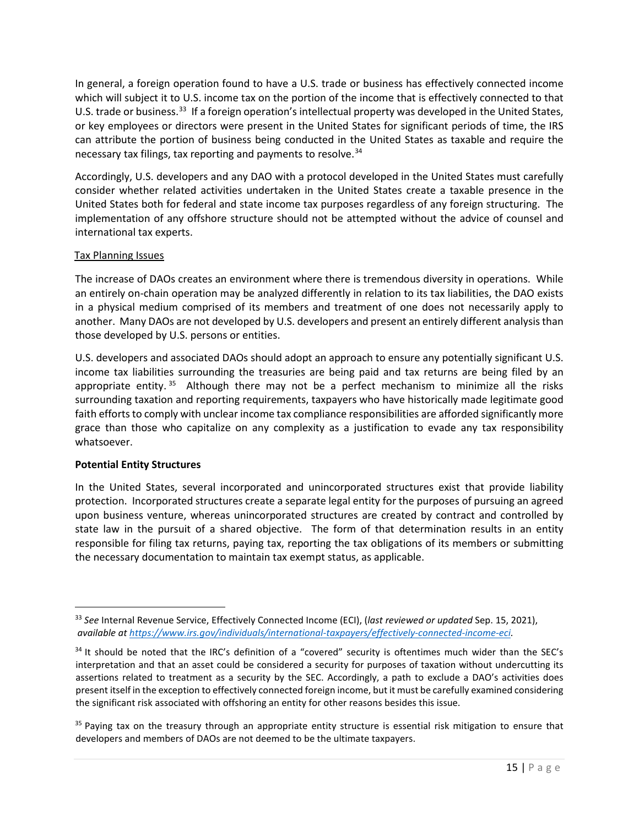In general, a foreign operation found to have a U.S. trade or business has effectively connected income which will subject it to U.S. income tax on the portion of the income that is effectively connected to that U.S. trade or business.<sup>33</sup> If a foreign operation's intellectual property was developed in the United States, or key employees or directors were present in the United States for significant periods of time, the IRS can attribute the portion of business being conducted in the United States as taxable and require the necessary tax filings, tax reporting and payments to resolve.<sup>[34](#page-14-1)</sup>

Accordingly, U.S. developers and any DAO with a protocol developed in the United States must carefully consider whether related activities undertaken in the United States create a taxable presence in the United States both for federal and state income tax purposes regardless of any foreign structuring. The implementation of any offshore structure should not be attempted without the advice of counsel and international tax experts.

### Tax Planning Issues

The increase of DAOs creates an environment where there is tremendous diversity in operations. While an entirely on-chain operation may be analyzed differently in relation to its tax liabilities, the DAO exists in a physical medium comprised of its members and treatment of one does not necessarily apply to another. Many DAOs are not developed by U.S. developers and present an entirely different analysis than those developed by U.S. persons or entities.

U.S. developers and associated DAOs should adopt an approach to ensure any potentially significant U.S. income tax liabilities surrounding the treasuries are being paid and tax returns are being filed by an appropriate entity.  $35$  Although there may not be a perfect mechanism to minimize all the risks surrounding taxation and reporting requirements, taxpayers who have historically made legitimate good faith efforts to comply with unclear income tax compliance responsibilities are afforded significantly more grace than those who capitalize on any complexity as a justification to evade any tax responsibility whatsoever.

#### **Potential Entity Structures**

In the United States, several incorporated and unincorporated structures exist that provide liability protection. Incorporated structures create a separate legal entity for the purposes of pursuing an agreed upon business venture, whereas unincorporated structures are created by contract and controlled by state law in the pursuit of a shared objective. The form of that determination results in an entity responsible for filing tax returns, paying tax, reporting the tax obligations of its members or submitting the necessary documentation to maintain tax exempt status, as applicable.

<span id="page-14-0"></span><sup>33</sup> *See* Internal Revenue Service, Effectively Connected Income (ECI), (*last reviewed or updated* Sep. 15, 2021), *available at [https://www.irs.gov/individuals/international-taxpayers/effectively-connected-income-eci.](https://www.irs.gov/individuals/international-taxpayers/effectively-connected-income-eci)* 

<span id="page-14-1"></span><sup>34</sup> It should be noted that the IRC's definition of a "covered" security is oftentimes much wider than the SEC's interpretation and that an asset could be considered a security for purposes of taxation without undercutting its assertions related to treatment as a security by the SEC. Accordingly, a path to exclude a DAO's activities does present itself in the exception to effectively connected foreign income, but it must be carefully examined considering the significant risk associated with offshoring an entity for other reasons besides this issue.

<span id="page-14-2"></span><sup>&</sup>lt;sup>35</sup> Paying tax on the treasury through an appropriate entity structure is essential risk mitigation to ensure that developers and members of DAOs are not deemed to be the ultimate taxpayers.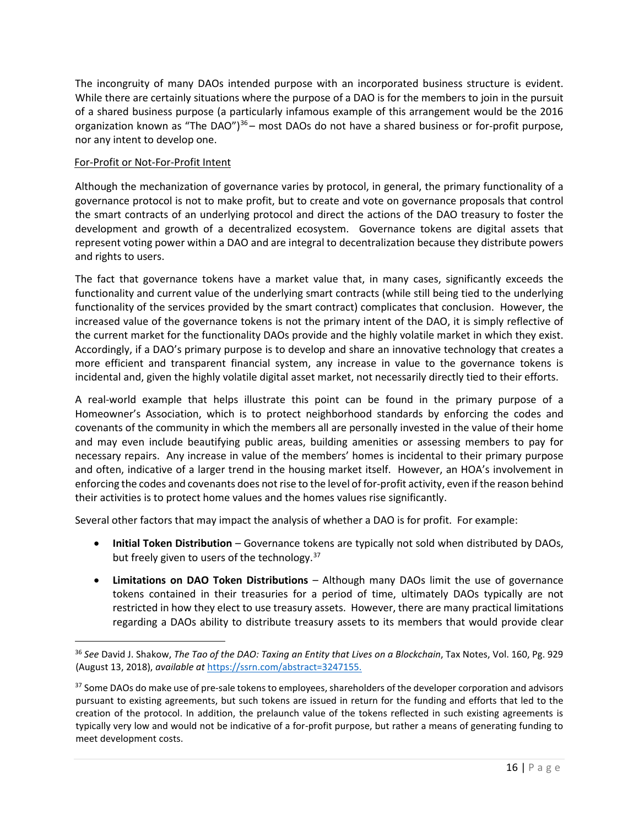The incongruity of many DAOs intended purpose with an incorporated business structure is evident. While there are certainly situations where the purpose of a DAO is for the members to join in the pursuit of a shared business purpose (a particularly infamous example of this arrangement would be the 2016 organization known as "The DAO") $36$  – most DAOs do not have a shared business or for-profit purpose, nor any intent to develop one.

# For-Profit or Not-For-Profit Intent

Although the mechanization of governance varies by protocol, in general, the primary functionality of a governance protocol is not to make profit, but to create and vote on governance proposals that control the smart contracts of an underlying protocol and direct the actions of the DAO treasury to foster the development and growth of a decentralized ecosystem. Governance tokens are digital assets that represent voting power within a DAO and are integral to decentralization because they distribute powers and rights to users.

The fact that governance tokens have a market value that, in many cases, significantly exceeds the functionality and current value of the underlying smart contracts (while still being tied to the underlying functionality of the services provided by the smart contract) complicates that conclusion. However, the increased value of the governance tokens is not the primary intent of the DAO, it is simply reflective of the current market for the functionality DAOs provide and the highly volatile market in which they exist. Accordingly, if a DAO's primary purpose is to develop and share an innovative technology that creates a more efficient and transparent financial system, any increase in value to the governance tokens is incidental and, given the highly volatile digital asset market, not necessarily directly tied to their efforts.

A real-world example that helps illustrate this point can be found in the primary purpose of a Homeowner's Association, which is to protect neighborhood standards by enforcing the codes and covenants of the community in which the members all are personally invested in the value of their home and may even include beautifying public areas, building amenities or assessing members to pay for necessary repairs. Any increase in value of the members' homes is incidental to their primary purpose and often, indicative of a larger trend in the housing market itself. However, an HOA's involvement in enforcing the codes and covenants does not rise to the level of for-profit activity, even if the reason behind their activities is to protect home values and the homes values rise significantly.

Several other factors that may impact the analysis of whether a DAO is for profit. For example:

- **Initial Token Distribution** *–* Governance tokens are typically not sold when distributed by DAOs, but freely given to users of the technology.<sup>37</sup>
- **Limitations on DAO Token Distributions** *–* Although many DAOs limit the use of governance tokens contained in their treasuries for a period of time, ultimately DAOs typically are not restricted in how they elect to use treasury assets. However, there are many practical limitations regarding a DAOs ability to distribute treasury assets to its members that would provide clear

<span id="page-15-0"></span><sup>&</sup>lt;sup>36</sup> See David J. Shakow, *The Tao of the DAO: Taxing an Entity that Lives on a Blockchain*, Tax Notes, Vol. 160, Pg. 929 (August 13, 2018), *available at* [https://ssrn.com/abstract=3247155.](https://ssrn.com/abstract=3247155) 

<span id="page-15-1"></span><sup>&</sup>lt;sup>37</sup> Some DAOs do make use of pre-sale tokens to employees, shareholders of the developer corporation and advisors pursuant to existing agreements, but such tokens are issued in return for the funding and efforts that led to the creation of the protocol. In addition, the prelaunch value of the tokens reflected in such existing agreements is typically very low and would not be indicative of a for-profit purpose, but rather a means of generating funding to meet development costs.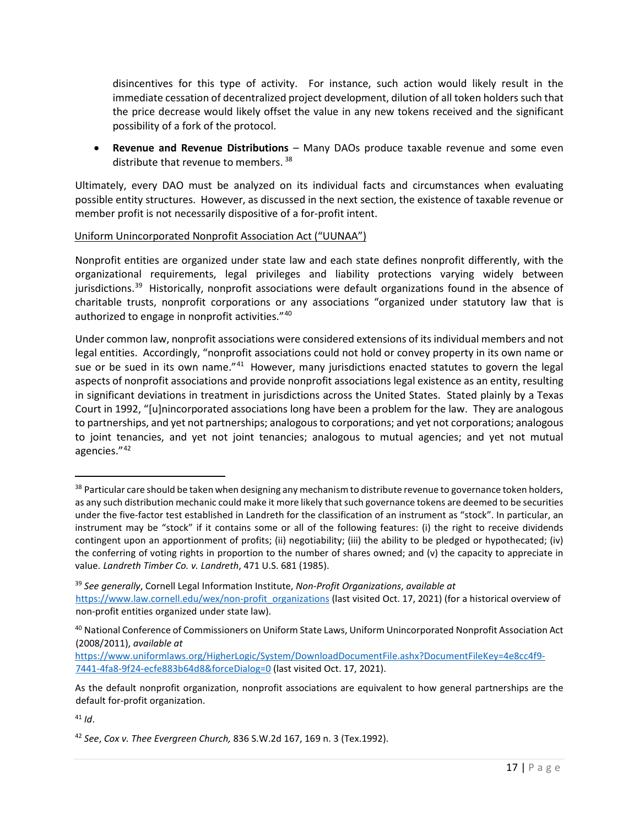disincentives for this type of activity. For instance, such action would likely result in the immediate cessation of decentralized project development, dilution of all token holders such that the price decrease would likely offset the value in any new tokens received and the significant possibility of a fork of the protocol.

• **Revenue and Revenue Distributions** *–* Many DAOs produce taxable revenue and some even distribute that revenue to members.<sup>[38](#page-16-0)</sup>

Ultimately, every DAO must be analyzed on its individual facts and circumstances when evaluating possible entity structures. However, as discussed in the next section, the existence of taxable revenue or member profit is not necessarily dispositive of a for-profit intent.

# Uniform Unincorporated Nonprofit Association Act ("UUNAA")

Nonprofit entities are organized under state law and each state defines nonprofit differently, with the organizational requirements, legal privileges and liability protections varying widely between jurisdictions.<sup>[39](#page-16-1)</sup> Historically, nonprofit associations were default organizations found in the absence of charitable trusts, nonprofit corporations or any associations "organized under statutory law that is authorized to engage in nonprofit activities."<sup>40</sup>

Under common law, nonprofit associations were considered extensions of its individual members and not legal entities. Accordingly, "nonprofit associations could not hold or convey property in its own name or sue or be sued in its own name."<sup>41</sup> However, many jurisdictions enacted statutes to govern the legal aspects of nonprofit associations and provide nonprofit associations legal existence as an entity, resulting in significant deviations in treatment in jurisdictions across the United States. Stated plainly by a Texas Court in 1992, "[u]nincorporated associations long have been a problem for the law. They are analogous to partnerships, and yet not partnerships; analogous to corporations; and yet not corporations; analogous to joint tenancies, and yet not joint tenancies; analogous to mutual agencies; and yet not mutual agencies."[42](#page-16-4)

<span id="page-16-0"></span><sup>&</sup>lt;sup>38</sup> Particular care should be taken when designing any mechanism to distribute revenue to governance token holders, as any such distribution mechanic could make it more likely that such governance tokens are deemed to be securities under the five-factor test established in Landreth for the classification of an instrument as "stock". In particular, an instrument may be "stock" if it contains some or all of the following features: (i) the right to receive dividends contingent upon an apportionment of profits; (ii) negotiability; (iii) the ability to be pledged or hypothecated; (iv) the conferring of voting rights in proportion to the number of shares owned; and (v) the capacity to appreciate in value. *Landreth Timber Co. v. Landreth*, 471 U.S. 681 (1985).

<span id="page-16-1"></span><sup>39</sup> *See generally*, Cornell Legal Information Institute, *Non-Profit Organizations*, *available at*

[https://www.law.cornell.edu/wex/non-profit\\_organizations](https://www.law.cornell.edu/wex/non-profit_organizations) (last visited Oct. 17, 2021) (for a historical overview of non-profit entities organized under state law).

<span id="page-16-2"></span><sup>40</sup> National Conference of Commissioners on Uniform State Laws, Uniform Unincorporated Nonprofit Association Act (2008/2011), *available at* 

[https://www.uniformlaws.org/HigherLogic/System/DownloadDocumentFile.ashx?DocumentFileKey=4e8cc4f9-](https://www.uniformlaws.org/HigherLogic/System/DownloadDocumentFile.ashx?DocumentFileKey=4e8cc4f9-7441-4fa8-9f24-ecfe883b64d8&forceDialog=0) [7441-4fa8-9f24-ecfe883b64d8&forceDialog=0](https://www.uniformlaws.org/HigherLogic/System/DownloadDocumentFile.ashx?DocumentFileKey=4e8cc4f9-7441-4fa8-9f24-ecfe883b64d8&forceDialog=0) (last visited Oct. 17, 2021).

As the default nonprofit organization, nonprofit associations are equivalent to how general partnerships are the default for-profit organization.

<span id="page-16-3"></span><sup>41</sup> *Id*.

<span id="page-16-4"></span><sup>42</sup> *See*, *Cox v. Thee Evergreen Church,* [836 S.W.2d 167,](https://www.bloomberglaw.com/product/blaw/bc/W1siRG9jdW1lbnQiLCIvcHJvZHVjdC9ibGF3L2RvY3VtZW50L1gxTDc5UEEwMDMiXV0--4eae77ee8ad958110acc72669ef2ef9194ee88b6/document/X2UKSH?jcsearch=836%20south%20western%202d%20167&summary=yes#jcite) [169](https://www.bloomberglaw.com/product/blaw/bc/W1siRG9jdW1lbnQiLCIvcHJvZHVjdC9ibGF3L2RvY3VtZW50L1gxTDc5UEEwMDMiXV0--4eae77ee8ad958110acc72669ef2ef9194ee88b6/document/X2UKSH?jcsearch=836%20south%20western%202d%20169&summary=yes#jcite) n. 3 (Tex.1992).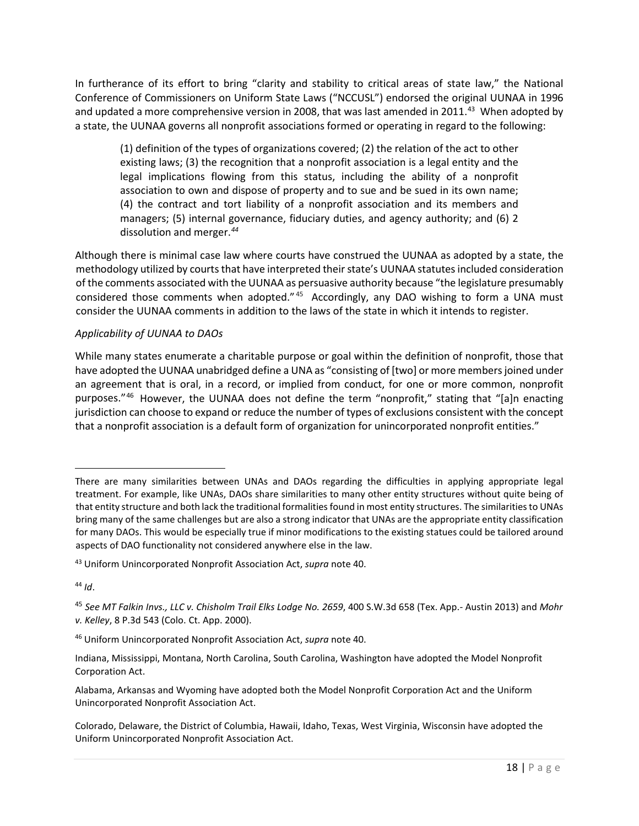In furtherance of its effort to bring "clarity and stability to critical areas of state law," the National Conference of Commissioners on Uniform State Laws ("NCCUSL") endorsed the original UUNAA in 1996 and updated a more comprehensive version in 2008, that was last amended in 2011.<sup>[43](#page-17-0)</sup> When adopted by a state, the UUNAA governs all nonprofit associations formed or operating in regard to the following:

(1) definition of the types of organizations covered; (2) the relation of the act to other existing laws; (3) the recognition that a nonprofit association is a legal entity and the legal implications flowing from this status, including the ability of a nonprofit association to own and dispose of property and to sue and be sued in its own name; (4) the contract and tort liability of a nonprofit association and its members and managers; (5) internal governance, fiduciary duties, and agency authority; and (6) 2 dissolution and merger.*[44](#page-17-1)*

Although there is minimal case law where courts have construed the UUNAA as adopted by a state, the methodology utilized by courts that have interpreted their state's UUNAA statutes included consideration of the comments associated with the UUNAA as persuasive authority because "the legislature presumably considered those comments when adopted." <sup>[45](#page-17-2)</sup> Accordingly, any DAO wishing to form a UNA must consider the UUNAA comments in addition to the laws of the state in which it intends to register.

# *Applicability of UUNAA to DAOs*

While many states enumerate a charitable purpose or goal within the definition of nonprofit, those that have adopted the UUNAA unabridged define a UNA as "consisting of [two] or more members joined under an agreement that is oral, in a record, or implied from conduct, for one or more common, nonprofit purposes."[46](#page-17-3) However, the UUNAA does not define the term "nonprofit," stating that "[a]n enacting jurisdiction can choose to expand or reduce the number of types of exclusions consistent with the concept that a nonprofit association is a default form of organization for unincorporated nonprofit entities."

<span id="page-17-1"></span><sup>44</sup> *Id*.

There are many similarities between UNAs and DAOs regarding the difficulties in applying appropriate legal treatment. For example, like UNAs, DAOs share similarities to many other entity structures without quite being of that entity structure and both lack the traditional formalities found in most entity structures. The similarities to UNAs bring many of the same challenges but are also a strong indicator that UNAs are the appropriate entity classification for many DAOs. This would be especially true if minor modifications to the existing statues could be tailored around aspects of DAO functionality not considered anywhere else in the law.

<span id="page-17-0"></span><sup>43</sup> Uniform Unincorporated Nonprofit Association Act, *supra* note 40.

<span id="page-17-2"></span><sup>45</sup> *See MT Falkin Invs., LLC v. Chisholm Trail Elks Lodge No. 2659*, 400 S.W.3d 658 (Tex. App.- Austin 2013) and *Mohr v. Kelley*, 8 P.3d 543 (Colo. Ct. App. 2000).

<span id="page-17-3"></span><sup>46</sup> Uniform Unincorporated Nonprofit Association Act, *supra* note 40.

Indiana, Mississippi, Montana, North Carolina, South Carolina, Washington have adopted the Model Nonprofit Corporation Act.

Alabama, Arkansas and Wyoming have adopted both the Model Nonprofit Corporation Act and the Uniform Unincorporated Nonprofit Association Act.

Colorado, Delaware, the District of Columbia, Hawaii, Idaho, Texas, West Virginia, Wisconsin have adopted the Uniform Unincorporated Nonprofit Association Act.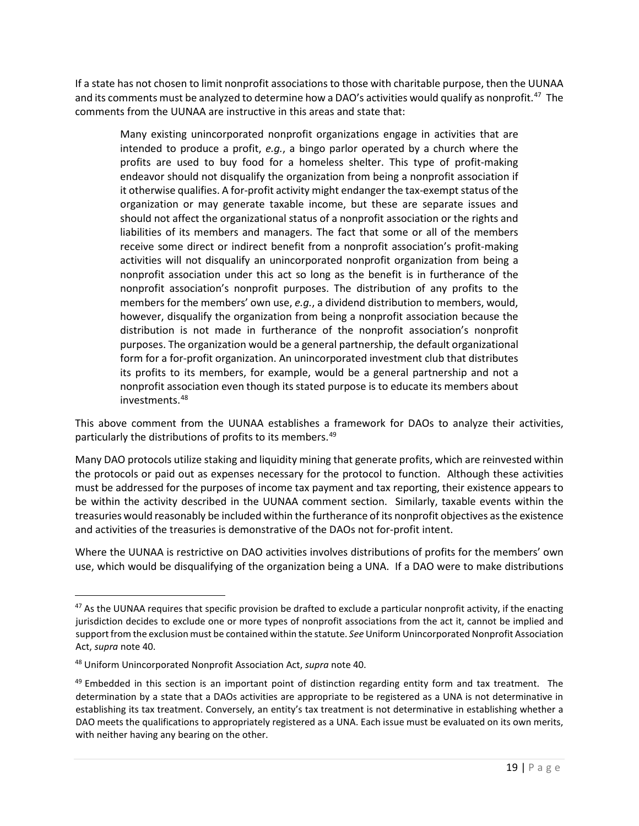If a state has not chosen to limit nonprofit associations to those with charitable purpose, then the UUNAA and its comments must be analyzed to determine how a DAO's activities would qualify as nonprofit.<sup>47</sup> The comments from the UUNAA are instructive in this areas and state that:

Many existing unincorporated nonprofit organizations engage in activities that are intended to produce a profit, *e.g.*, a bingo parlor operated by a church where the profits are used to buy food for a homeless shelter. This type of profit-making endeavor should not disqualify the organization from being a nonprofit association if it otherwise qualifies. A for-profit activity might endanger the tax-exempt status of the organization or may generate taxable income, but these are separate issues and should not affect the organizational status of a nonprofit association or the rights and liabilities of its members and managers. The fact that some or all of the members receive some direct or indirect benefit from a nonprofit association's profit-making activities will not disqualify an unincorporated nonprofit organization from being a nonprofit association under this act so long as the benefit is in furtherance of the nonprofit association's nonprofit purposes. The distribution of any profits to the members for the members' own use, *e.g.*, a dividend distribution to members, would, however, disqualify the organization from being a nonprofit association because the distribution is not made in furtherance of the nonprofit association's nonprofit purposes. The organization would be a general partnership, the default organizational form for a for-profit organization. An unincorporated investment club that distributes its profits to its members, for example, would be a general partnership and not a nonprofit association even though its stated purpose is to educate its members about investments.[48](#page-18-1)

This above comment from the UUNAA establishes a framework for DAOs to analyze their activities, particularly the distributions of profits to its members.[49](#page-18-2)

Many DAO protocols utilize staking and liquidity mining that generate profits, which are reinvested within the protocols or paid out as expenses necessary for the protocol to function. Although these activities must be addressed for the purposes of income tax payment and tax reporting, their existence appears to be within the activity described in the UUNAA comment section. Similarly, taxable events within the treasuries would reasonably be included within the furtherance of its nonprofit objectives as the existence and activities of the treasuries is demonstrative of the DAOs not for-profit intent.

Where the UUNAA is restrictive on DAO activities involves distributions of profits for the members' own use, which would be disqualifying of the organization being a UNA. If a DAO were to make distributions

<span id="page-18-0"></span> $47$  As the UUNAA requires that specific provision be drafted to exclude a particular nonprofit activity, if the enacting jurisdiction decides to exclude one or more types of nonprofit associations from the act it, cannot be implied and support from the exclusion must be contained within the statute. *See* Uniform Unincorporated Nonprofit Association Act, *supra* note 40.

<span id="page-18-1"></span><sup>48</sup> Uniform Unincorporated Nonprofit Association Act, *supra* note 40.

<span id="page-18-2"></span> $49$  Embedded in this section is an important point of distinction regarding entity form and tax treatment. The determination by a state that a DAOs activities are appropriate to be registered as a UNA is not determinative in establishing its tax treatment. Conversely, an entity's tax treatment is not determinative in establishing whether a DAO meets the qualifications to appropriately registered as a UNA. Each issue must be evaluated on its own merits, with neither having any bearing on the other.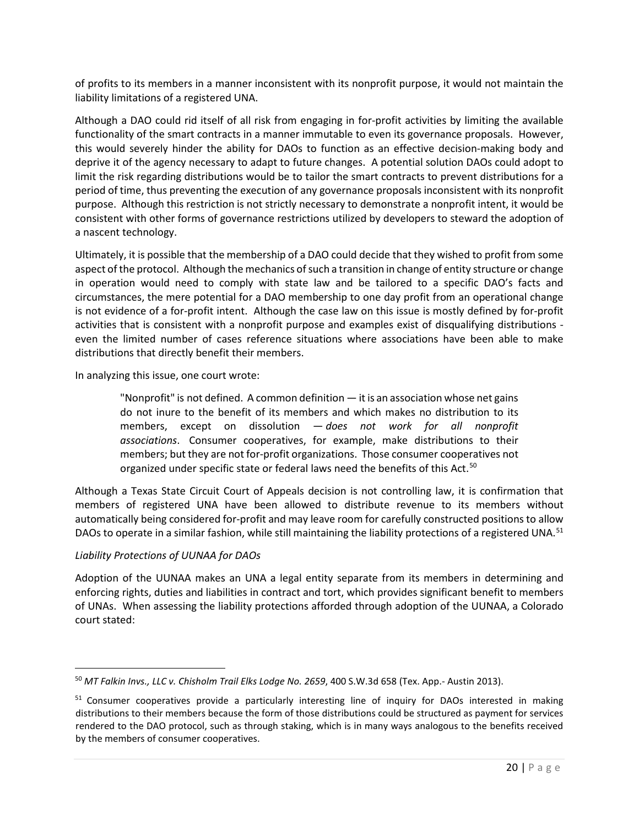of profits to its members in a manner inconsistent with its nonprofit purpose, it would not maintain the liability limitations of a registered UNA.

Although a DAO could rid itself of all risk from engaging in for-profit activities by limiting the available functionality of the smart contracts in a manner immutable to even its governance proposals. However, this would severely hinder the ability for DAOs to function as an effective decision-making body and deprive it of the agency necessary to adapt to future changes. A potential solution DAOs could adopt to limit the risk regarding distributions would be to tailor the smart contracts to prevent distributions for a period of time, thus preventing the execution of any governance proposals inconsistent with its nonprofit purpose. Although this restriction is not strictly necessary to demonstrate a nonprofit intent, it would be consistent with other forms of governance restrictions utilized by developers to steward the adoption of a nascent technology.

Ultimately, it is possible that the membership of a DAO could decide that they wished to profit from some aspect of the protocol. Although the mechanics of such a transition in change of entity structure or change in operation would need to comply with state law and be tailored to a specific DAO's facts and circumstances, the mere potential for a DAO membership to one day profit from an operational change is not evidence of a for-profit intent. Although the case law on this issue is mostly defined by for-profit activities that is consistent with a nonprofit purpose and examples exist of disqualifying distributions even the limited number of cases reference situations where associations have been able to make distributions that directly benefit their members.

In analyzing this issue, one court wrote:

"Nonprofit" is not defined. A common definition — it is an association whose net gains do not inure to the benefit of its members and which makes no distribution to its members, except on dissolution — *does not work for all nonprofit associations*. Consumer cooperatives, for example, make distributions to their members; but they are not for-profit organizations. Those consumer cooperatives not organized under specific state or federal laws need the benefits of this Act.<sup>[50](#page-19-0)</sup>

Although a Texas State Circuit Court of Appeals decision is not controlling law, it is confirmation that members of registered UNA have been allowed to distribute revenue to its members without automatically being considered for-profit and may leave room for carefully constructed positions to allow DAOs to operate in a similar fashion, while still maintaining the liability protections of a registered UNA.<sup>[51](#page-19-1)</sup>

# *Liability Protections of UUNAA for DAOs*

Adoption of the UUNAA makes an UNA a legal entity separate from its members in determining and enforcing rights, duties and liabilities in contract and tort, which provides significant benefit to members of UNAs. When assessing the liability protections afforded through adoption of the UUNAA, a Colorado court stated:

<span id="page-19-0"></span><sup>50</sup> *MT Falkin Invs., LLC v. Chisholm Trail Elks Lodge No. 2659*, 400 S.W.3d 658 (Tex. App.- Austin 2013).

<span id="page-19-1"></span><sup>&</sup>lt;sup>51</sup> Consumer cooperatives provide a particularly interesting line of inquiry for DAOs interested in making distributions to their members because the form of those distributions could be structured as payment for services rendered to the DAO protocol, such as through staking, which is in many ways analogous to the benefits received by the members of consumer cooperatives.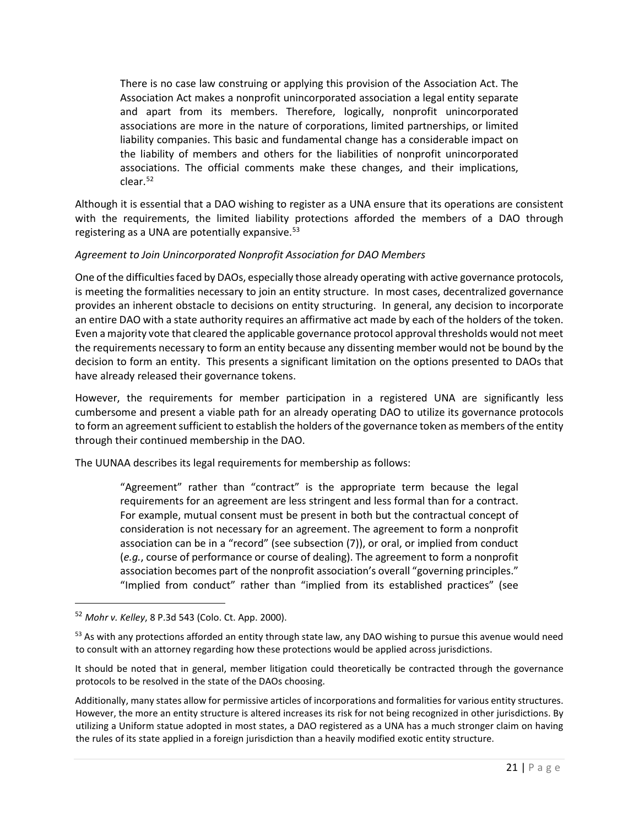There is no case law construing or applying this provision of the Association Act. The Association Act makes a nonprofit unincorporated association a legal entity separate and apart from its members. Therefore, logically, nonprofit unincorporated associations are more in the nature of corporations, limited partnerships, or limited liability companies. This basic and fundamental change has a considerable impact on the liability of members and others for the liabilities of nonprofit unincorporated associations. The official comments make these changes, and their implications, clear.[52](#page-20-0)

Although it is essential that a DAO wishing to register as a UNA ensure that its operations are consistent with the requirements, the limited liability protections afforded the members of a DAO through registering as a UNA are potentially expansive.<sup>[53](#page-20-1)</sup>

# *Agreement to Join Unincorporated Nonprofit Association for DAO Members*

One of the difficulties faced by DAOs, especially those already operating with active governance protocols, is meeting the formalities necessary to join an entity structure. In most cases, decentralized governance provides an inherent obstacle to decisions on entity structuring. In general, any decision to incorporate an entire DAO with a state authority requires an affirmative act made by each of the holders of the token. Even a majority vote that cleared the applicable governance protocol approval thresholds would not meet the requirements necessary to form an entity because any dissenting member would not be bound by the decision to form an entity. This presents a significant limitation on the options presented to DAOs that have already released their governance tokens.

However, the requirements for member participation in a registered UNA are significantly less cumbersome and present a viable path for an already operating DAO to utilize its governance protocols to form an agreement sufficient to establish the holders of the governance token as members of the entity through their continued membership in the DAO.

The UUNAA describes its legal requirements for membership as follows:

"Agreement" rather than "contract" is the appropriate term because the legal requirements for an agreement are less stringent and less formal than for a contract. For example, mutual consent must be present in both but the contractual concept of consideration is not necessary for an agreement. The agreement to form a nonprofit association can be in a "record" (see subsection (7)), or oral, or implied from conduct (*e.g.*, course of performance or course of dealing). The agreement to form a nonprofit association becomes part of the nonprofit association's overall "governing principles." "Implied from conduct" rather than "implied from its established practices" (see

Additionally, many states allow for permissive articles of incorporations and formalities for various entity structures. However, the more an entity structure is altered increases its risk for not being recognized in other jurisdictions. By utilizing a Uniform statue adopted in most states, a DAO registered as a UNA has a much stronger claim on having the rules of its state applied in a foreign jurisdiction than a heavily modified exotic entity structure.

<span id="page-20-0"></span><sup>52</sup> *Mohr v. Kelley*, 8 P.3d 543 (Colo. Ct. App. 2000).

<span id="page-20-1"></span><sup>&</sup>lt;sup>53</sup> As with any protections afforded an entity through state law, any DAO wishing to pursue this avenue would need to consult with an attorney regarding how these protections would be applied across jurisdictions.

It should be noted that in general, member litigation could theoretically be contracted through the governance protocols to be resolved in the state of the DAOs choosing.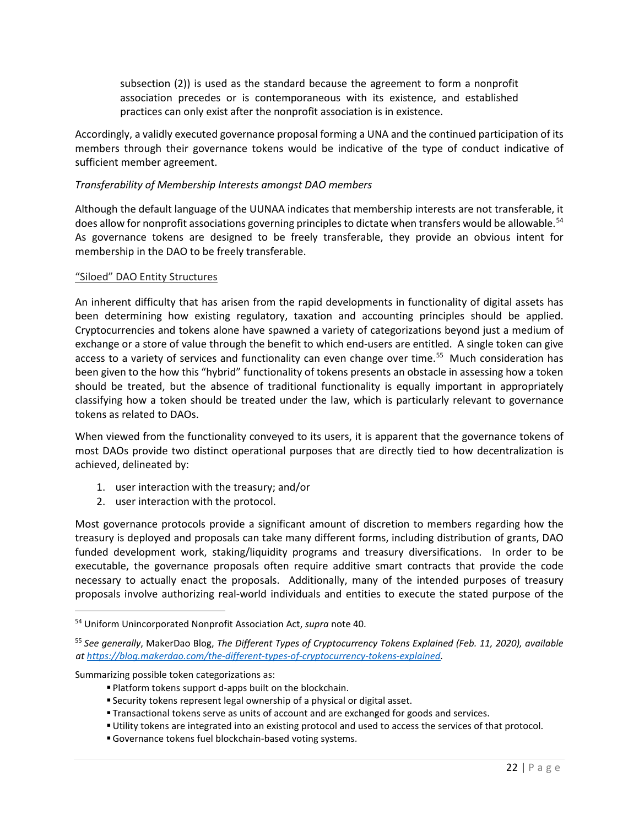subsection (2)) is used as the standard because the agreement to form a nonprofit association precedes or is contemporaneous with its existence, and established practices can only exist after the nonprofit association is in existence.

Accordingly, a validly executed governance proposal forming a UNA and the continued participation of its members through their governance tokens would be indicative of the type of conduct indicative of sufficient member agreement.

### *Transferability of Membership Interests amongst DAO members*

Although the default language of the UUNAA indicates that membership interests are not transferable, it does allow for nonprofit associations governing principles to dictate when transfers would be allowable.<sup>[54](#page-21-0)</sup> As governance tokens are designed to be freely transferable, they provide an obvious intent for membership in the DAO to be freely transferable.

#### "Siloed" DAO Entity Structures

An inherent difficulty that has arisen from the rapid developments in functionality of digital assets has been determining how existing regulatory, taxation and accounting principles should be applied. Cryptocurrencies and tokens alone have spawned a variety of categorizations beyond just a medium of exchange or a store of value through the benefit to which end-users are entitled. A single token can give access to a variety of services and functionality can even change over time.<sup>[55](#page-21-1)</sup> Much consideration has been given to the how this "hybrid" functionality of tokens presents an obstacle in assessing how a token should be treated, but the absence of traditional functionality is equally important in appropriately classifying how a token should be treated under the law, which is particularly relevant to governance tokens as related to DAOs.

When viewed from the functionality conveyed to its users, it is apparent that the governance tokens of most DAOs provide two distinct operational purposes that are directly tied to how decentralization is achieved, delineated by:

- 1. user interaction with the treasury; and/or
- 2. user interaction with the protocol.

Most governance protocols provide a significant amount of discretion to members regarding how the treasury is deployed and proposals can take many different forms, including distribution of grants, DAO funded development work, staking/liquidity programs and treasury diversifications. In order to be executable, the governance proposals often require additive smart contracts that provide the code necessary to actually enact the proposals. Additionally, many of the intended purposes of treasury proposals involve authorizing real-world individuals and entities to execute the stated purpose of the

Summarizing possible token categorizations as:

<span id="page-21-0"></span><sup>54</sup> Uniform Unincorporated Nonprofit Association Act, *supra* note 40.

<span id="page-21-1"></span><sup>55</sup> *See generally*, MakerDao Blog, *The Different Types of Cryptocurrency Tokens Explained (Feb. 11, 2020), available at [https://blog.makerdao.com/the-different-types-of-cryptocurrency-tokens-explained.](https://blog.makerdao.com/the-different-types-of-cryptocurrency-tokens-explained)* 

Platform tokens support d-apps built on the blockchain.

Security tokens represent legal ownership of a physical or digital asset.

Transactional tokens serve as units of account and are exchanged for goods and services.

Utility tokens are integrated into an existing protocol and used to access the services of that protocol.

Governance tokens fuel blockchain-based voting systems.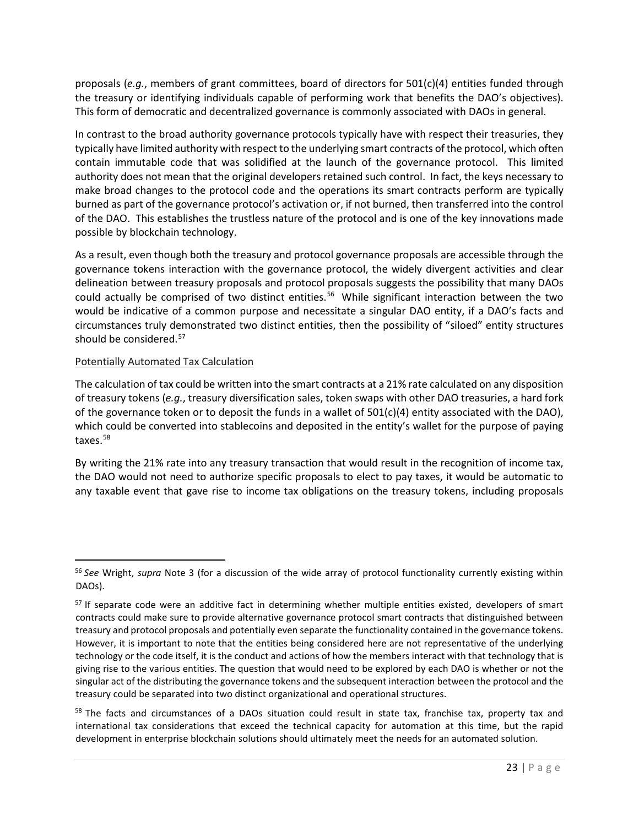proposals (*e.g.*, members of grant committees, board of directors for 501(c)(4) entities funded through the treasury or identifying individuals capable of performing work that benefits the DAO's objectives). This form of democratic and decentralized governance is commonly associated with DAOs in general.

In contrast to the broad authority governance protocols typically have with respect their treasuries, they typically have limited authority with respect to the underlying smart contracts of the protocol, which often contain immutable code that was solidified at the launch of the governance protocol. This limited authority does not mean that the original developers retained such control. In fact, the keys necessary to make broad changes to the protocol code and the operations its smart contracts perform are typically burned as part of the governance protocol's activation or, if not burned, then transferred into the control of the DAO. This establishes the trustless nature of the protocol and is one of the key innovations made possible by blockchain technology.

As a result, even though both the treasury and protocol governance proposals are accessible through the governance tokens interaction with the governance protocol, the widely divergent activities and clear delineation between treasury proposals and protocol proposals suggests the possibility that many DAOs could actually be comprised of two distinct entities.<sup>[56](#page-22-0)</sup> While significant interaction between the two would be indicative of a common purpose and necessitate a singular DAO entity, if a DAO's facts and circumstances truly demonstrated two distinct entities, then the possibility of "siloed" entity structures should be considered.<sup>57</sup>

#### Potentially Automated Tax Calculation

The calculation of tax could be written into the smart contracts at a 21% rate calculated on any disposition of treasury tokens (*e.g.*, treasury diversification sales, token swaps with other DAO treasuries, a hard fork of the governance token or to deposit the funds in a wallet of  $501(c)(4)$  entity associated with the DAO), which could be converted into stablecoins and deposited in the entity's wallet for the purpose of paying taxes.<sup>[58](#page-22-2)</sup>

By writing the 21% rate into any treasury transaction that would result in the recognition of income tax, the DAO would not need to authorize specific proposals to elect to pay taxes, it would be automatic to any taxable event that gave rise to income tax obligations on the treasury tokens, including proposals

<span id="page-22-0"></span><sup>56</sup> *See* Wright, *supra* Note 3 (for a discussion of the wide array of protocol functionality currently existing within DAOs).

<span id="page-22-1"></span><sup>&</sup>lt;sup>57</sup> If separate code were an additive fact in determining whether multiple entities existed, developers of smart contracts could make sure to provide alternative governance protocol smart contracts that distinguished between treasury and protocol proposals and potentially even separate the functionality contained in the governance tokens. However, it is important to note that the entities being considered here are not representative of the underlying technology or the code itself, it is the conduct and actions of how the members interact with that technology that is giving rise to the various entities. The question that would need to be explored by each DAO is whether or not the singular act of the distributing the governance tokens and the subsequent interaction between the protocol and the treasury could be separated into two distinct organizational and operational structures.

<span id="page-22-2"></span><sup>&</sup>lt;sup>58</sup> The facts and circumstances of a DAOs situation could result in state tax, franchise tax, property tax and international tax considerations that exceed the technical capacity for automation at this time, but the rapid development in enterprise blockchain solutions should ultimately meet the needs for an automated solution.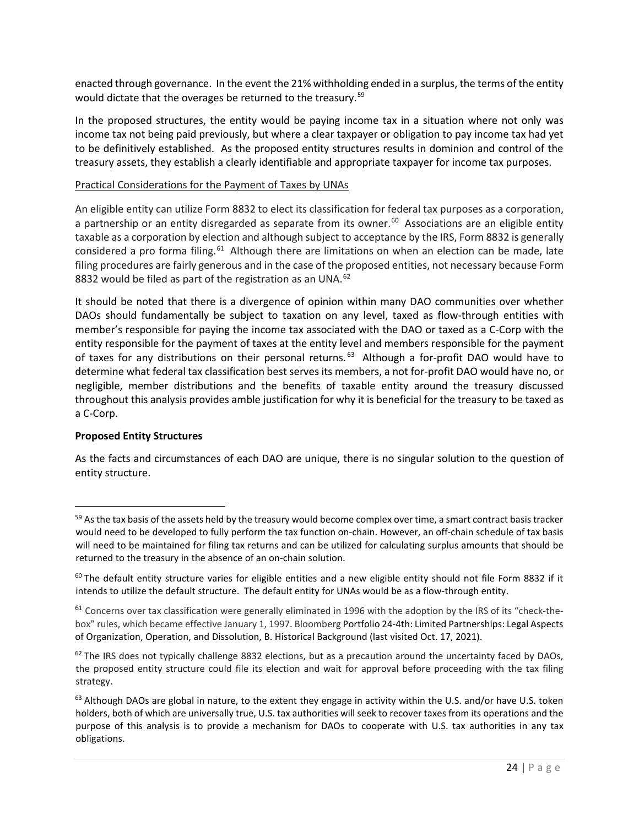enacted through governance. In the event the 21% withholding ended in a surplus, the terms of the entity would dictate that the overages be returned to the treasury.<sup>[59](#page-23-0)</sup>

In the proposed structures, the entity would be paying income tax in a situation where not only was income tax not being paid previously, but where a clear taxpayer or obligation to pay income tax had yet to be definitively established. As the proposed entity structures results in dominion and control of the treasury assets, they establish a clearly identifiable and appropriate taxpayer for income tax purposes.

#### Practical Considerations for the Payment of Taxes by UNAs

An eligible entity can utilize Form 8832 to elect its classification for federal tax purposes as a corporation, a partnership or an entity disregarded as separate from its owner.<sup>[60](#page-23-1)</sup> Associations are an eligible entity taxable as a corporation by election and although subject to acceptance by the IRS, Form 8832 is generally considered a pro forma filing.<sup>61</sup> Although there are limitations on when an election can be made, late filing procedures are fairly generous and in the case of the proposed entities, not necessary because Form 8832 would be filed as part of the registration as an UNA.<sup>62</sup>

It should be noted that there is a divergence of opinion within many DAO communities over whether DAOs should fundamentally be subject to taxation on any level, taxed as flow-through entities with member's responsible for paying the income tax associated with the DAO or taxed as a C-Corp with the entity responsible for the payment of taxes at the entity level and members responsible for the payment of taxes for any distributions on their personal returns.<sup>[63](#page-23-4)</sup> Although a for-profit DAO would have to determine what federal tax classification best serves its members, a not for-profit DAO would have no, or negligible, member distributions and the benefits of taxable entity around the treasury discussed throughout this analysis provides amble justification for why it is beneficial for the treasury to be taxed as a C-Corp.

### **Proposed Entity Structures**

As the facts and circumstances of each DAO are unique, there is no singular solution to the question of entity structure.

<span id="page-23-0"></span><sup>59</sup> As the tax basis of the assets held by the treasury would become complex over time, a smart contract basis tracker would need to be developed to fully perform the tax function on-chain. However, an off-chain schedule of tax basis will need to be maintained for filing tax returns and can be utilized for calculating surplus amounts that should be returned to the treasury in the absence of an on-chain solution.

<span id="page-23-1"></span> $60$  The default entity structure varies for eligible entities and a new eligible entity should not file Form 8832 if it intends to utilize the default structure. The default entity for UNAs would be as a flow-through entity.

<span id="page-23-2"></span> $61$  Concerns over tax classification were generally eliminated in 1996 with the adoption by the IRS of its "check-thebox" rules, which became effective January 1, 1997. Bloomberg [Portfolio 24-4th: Limited Partnerships: Legal Aspects](https://www.bloomberglaw.com/ms/product/blaw/document/2519753256)  [of Organization, Operation, and Dissolution, B. Historical Background](https://www.bloomberglaw.com/ms/product/blaw/document/2519753256) (last visited Oct. 17, 2021).

<span id="page-23-3"></span> $62$  The IRS does not typically challenge 8832 elections, but as a precaution around the uncertainty faced by DAOs, the proposed entity structure could file its election and wait for approval before proceeding with the tax filing strategy.

<span id="page-23-4"></span> $63$  Although DAOs are global in nature, to the extent they engage in activity within the U.S. and/or have U.S. token holders, both of which are universally true, U.S. tax authorities will seek to recover taxes from its operations and the purpose of this analysis is to provide a mechanism for DAOs to cooperate with U.S. tax authorities in any tax obligations.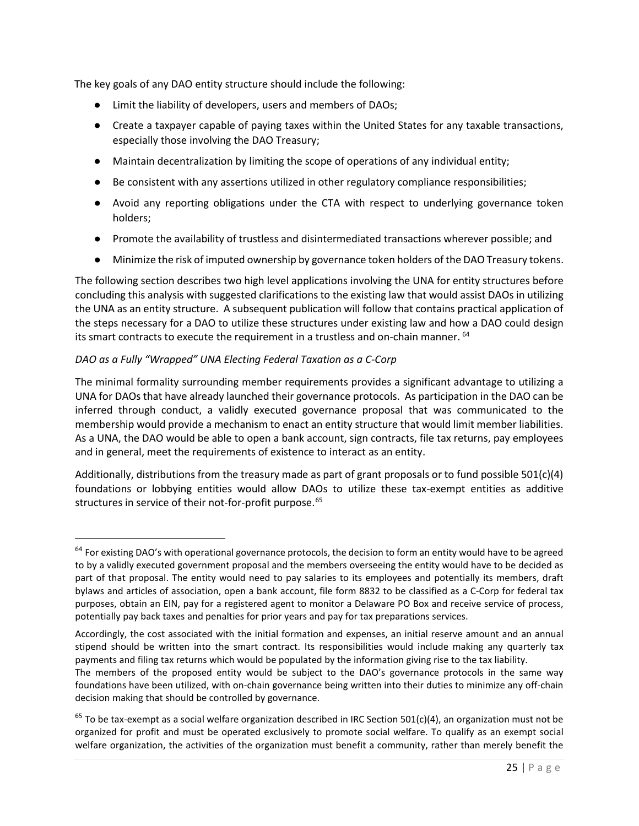The key goals of any DAO entity structure should include the following:

- Limit the liability of developers, users and members of DAOs;
- Create a taxpayer capable of paying taxes within the United States for any taxable transactions, especially those involving the DAO Treasury;
- Maintain decentralization by limiting the scope of operations of any individual entity;
- Be consistent with any assertions utilized in other regulatory compliance responsibilities;
- Avoid any reporting obligations under the CTA with respect to underlying governance token holders;
- Promote the availability of trustless and disintermediated transactions wherever possible; and
- Minimize the risk of imputed ownership by governance token holders of the DAO Treasury tokens.

The following section describes two high level applications involving the UNA for entity structures before concluding this analysis with suggested clarifications to the existing law that would assist DAOs in utilizing the UNA as an entity structure. A subsequent publication will follow that contains practical application of the steps necessary for a DAO to utilize these structures under existing law and how a DAO could design its smart contracts to execute the requirement in a trustless and on-chain manner. [64](#page-24-0)

# *DAO as a Fully "Wrapped" UNA Electing Federal Taxation as a C-Corp*

The minimal formality surrounding member requirements provides a significant advantage to utilizing a UNA for DAOs that have already launched their governance protocols. As participation in the DAO can be inferred through conduct, a validly executed governance proposal that was communicated to the membership would provide a mechanism to enact an entity structure that would limit member liabilities. As a UNA, the DAO would be able to open a bank account, sign contracts, file tax returns, pay employees and in general, meet the requirements of existence to interact as an entity.

Additionally, distributions from the treasury made as part of grant proposals or to fund possible 501(c)(4) foundations or lobbying entities would allow DAOs to utilize these tax-exempt entities as additive structures in service of their not-for-profit purpose.<sup>[65](#page-24-1)</sup>

<span id="page-24-0"></span> $64$  For existing DAO's with operational governance protocols, the decision to form an entity would have to be agreed to by a validly executed government proposal and the members overseeing the entity would have to be decided as part of that proposal. The entity would need to pay salaries to its employees and potentially its members, draft bylaws and articles of association, open a bank account, file form 8832 to be classified as a C-Corp for federal tax purposes, obtain an EIN, pay for a registered agent to monitor a Delaware PO Box and receive service of process, potentially pay back taxes and penalties for prior years and pay for tax preparations services.

Accordingly, the cost associated with the initial formation and expenses, an initial reserve amount and an annual stipend should be written into the smart contract. Its responsibilities would include making any quarterly tax payments and filing tax returns which would be populated by the information giving rise to the tax liability.

The members of the proposed entity would be subject to the DAO's governance protocols in the same way foundations have been utilized, with on-chain governance being written into their duties to minimize any off-chain decision making that should be controlled by governance.

<span id="page-24-1"></span> $65$  To be tax-exempt as a social welfare organization described in IRC Section 501(c)(4), an organization must not be organized for profit and must be operated exclusively to promote social welfare. To qualify as an exempt social welfare organization, the activities of the organization must benefit a community, rather than merely benefit the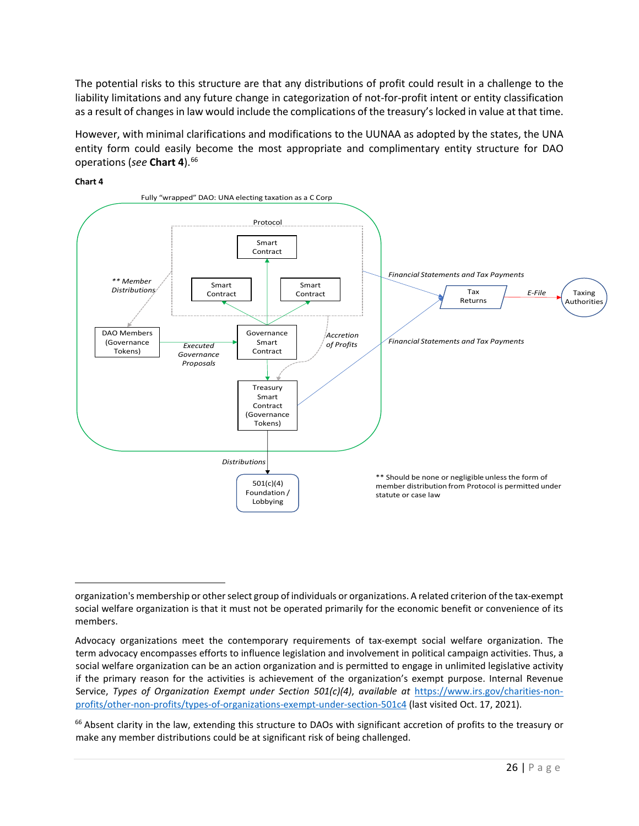The potential risks to this structure are that any distributions of profit could result in a challenge to the liability limitations and any future change in categorization of not-for-profit intent or entity classification as a result of changes in law would include the complications of the treasury's locked in value at that time.

However, with minimal clarifications and modifications to the UUNAA as adopted by the states, the UNA entity form could easily become the most appropriate and complimentary entity structure for DAO operations (*see* **Chart 4**). [66](#page-25-0) 



**Chart 4**

organization's membership or other select group of individuals or organizations. A related criterion of the tax-exempt social welfare organization is that it must not be operated primarily for the economic benefit or convenience of its members.

Advocacy organizations meet the contemporary requirements of tax-exempt social welfare organization. The term advocacy encompasses efforts to influence legislation and involvement in political campaign activities. Thus, a social welfare organization can be an action organization and is permitted to engage in unlimited legislative activity if the primary reason for the activities is achievement of the organization's exempt purpose. Internal Revenue Service, *Types of Organization Exempt under Section 501(c)(4)*, *available at* [https://www.irs.gov/charities-non](https://www.irs.gov/charities-non-profits/other-non-profits/types-of-organizations-exempt-under-section-501c4)[profits/other-non-profits/types-of-organizations-exempt-under-section-501c4](https://www.irs.gov/charities-non-profits/other-non-profits/types-of-organizations-exempt-under-section-501c4) (last visited Oct. 17, 2021).

<span id="page-25-0"></span><sup>&</sup>lt;sup>66</sup> Absent clarity in the law, extending this structure to DAOs with significant accretion of profits to the treasury or make any member distributions could be at significant risk of being challenged.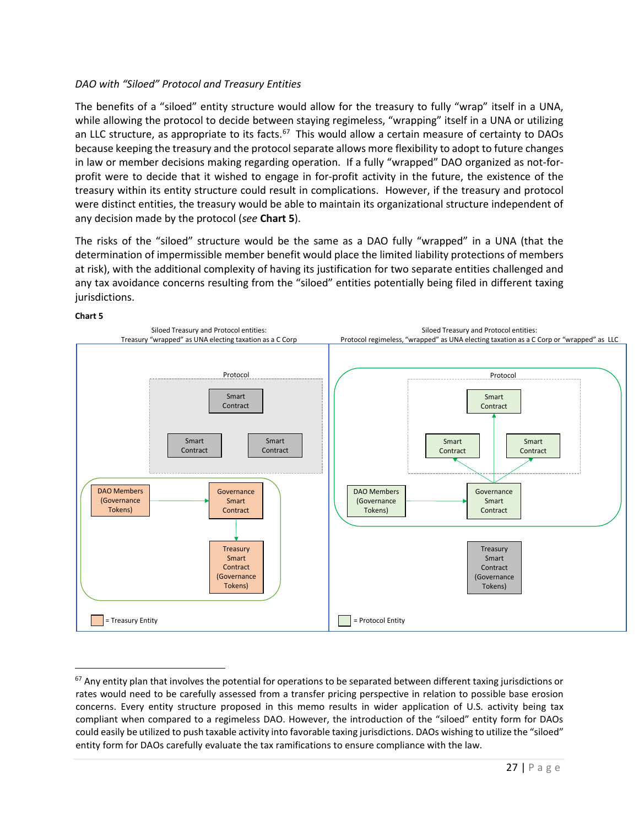# *DAO with "Siloed" Protocol and Treasury Entities*

The benefits of a "siloed" entity structure would allow for the treasury to fully "wrap" itself in a UNA, while allowing the protocol to decide between staying regimeless, "wrapping" itself in a UNA or utilizing an LLC structure, as appropriate to its facts.<sup>67</sup> This would allow a certain measure of certainty to DAOs because keeping the treasury and the protocol separate allows more flexibility to adopt to future changes in law or member decisions making regarding operation. If a fully "wrapped" DAO organized as not-forprofit were to decide that it wished to engage in for-profit activity in the future, the existence of the treasury within its entity structure could result in complications. However, if the treasury and protocol were distinct entities, the treasury would be able to maintain its organizational structure independent of any decision made by the protocol (*see* **Chart 5**).

The risks of the "siloed" structure would be the same as a DAO fully "wrapped" in a UNA (that the determination of impermissible member benefit would place the limited liability protections of members at risk), with the additional complexity of having its justification for two separate entities challenged and any tax avoidance concerns resulting from the "siloed" entities potentially being filed in different taxing jurisdictions.



<span id="page-26-0"></span> $67$  Any entity plan that involves the potential for operations to be separated between different taxing jurisdictions or rates would need to be carefully assessed from a transfer pricing perspective in relation to possible base erosion concerns. Every entity structure proposed in this memo results in wider application of U.S. activity being tax compliant when compared to a regimeless DAO. However, the introduction of the "siloed" entity form for DAOs could easily be utilized to push taxable activity into favorable taxing jurisdictions. DAOs wishing to utilize the "siloed" entity form for DAOs carefully evaluate the tax ramifications to ensure compliance with the law.

# **Chart 5**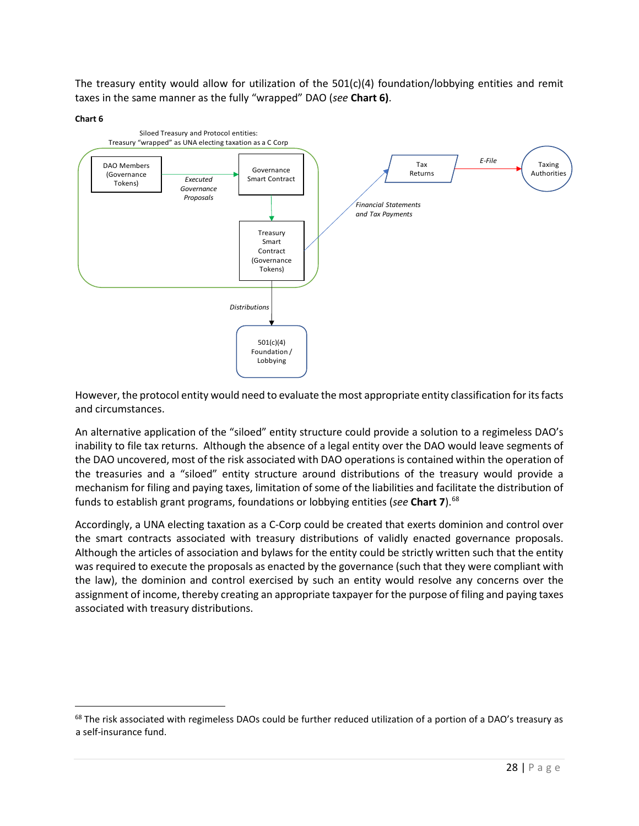The treasury entity would allow for utilization of the 501(c)(4) foundation/lobbying entities and remit taxes in the same manner as the fully "wrapped" DAO (*see* **Chart 6)**.

#### **Chart 6**



However, the protocol entity would need to evaluate the most appropriate entity classification for its facts and circumstances.

An alternative application of the "siloed" entity structure could provide a solution to a regimeless DAO's inability to file tax returns. Although the absence of a legal entity over the DAO would leave segments of the DAO uncovered, most of the risk associated with DAO operations is contained within the operation of the treasuries and a "siloed" entity structure around distributions of the treasury would provide a mechanism for filing and paying taxes, limitation of some of the liabilities and facilitate the distribution of funds to establish grant programs, foundations or lobbying entities (*see* **Chart 7**). [68](#page-27-0)

Accordingly, a UNA electing taxation as a C-Corp could be created that exerts dominion and control over the smart contracts associated with treasury distributions of validly enacted governance proposals. Although the articles of association and bylaws for the entity could be strictly written such that the entity was required to execute the proposals as enacted by the governance (such that they were compliant with the law), the dominion and control exercised by such an entity would resolve any concerns over the assignment of income, thereby creating an appropriate taxpayer for the purpose of filing and paying taxes associated with treasury distributions.

<span id="page-27-0"></span> $68$  The risk associated with regimeless DAOs could be further reduced utilization of a portion of a DAO's treasury as a self-insurance fund.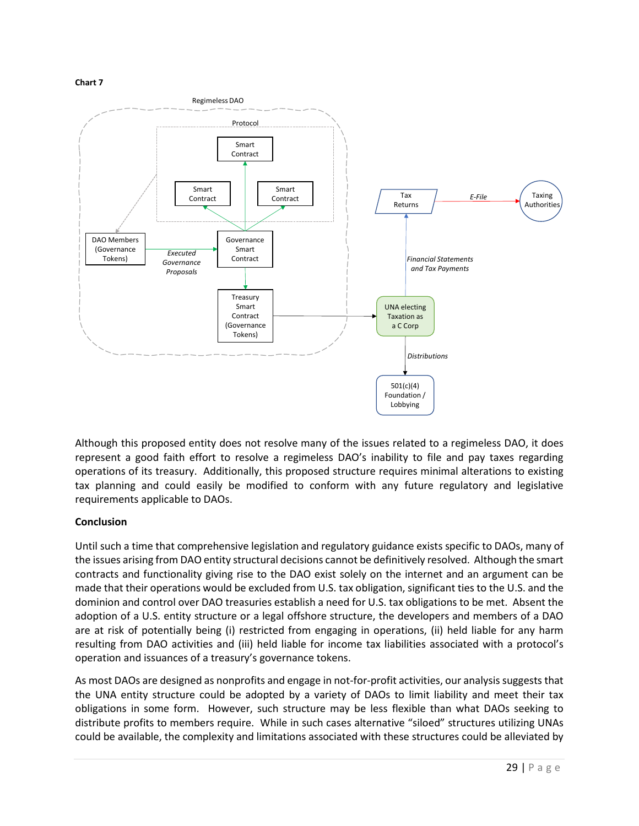#### **Chart 7**



Although this proposed entity does not resolve many of the issues related to a regimeless DAO, it does represent a good faith effort to resolve a regimeless DAO's inability to file and pay taxes regarding operations of its treasury. Additionally, this proposed structure requires minimal alterations to existing tax planning and could easily be modified to conform with any future regulatory and legislative requirements applicable to DAOs.

# **Conclusion**

Until such a time that comprehensive legislation and regulatory guidance exists specific to DAOs, many of the issues arising from DAO entity structural decisions cannot be definitively resolved. Although the smart contracts and functionality giving rise to the DAO exist solely on the internet and an argument can be made that their operations would be excluded from U.S. tax obligation, significant ties to the U.S. and the dominion and control over DAO treasuries establish a need for U.S. tax obligations to be met. Absent the adoption of a U.S. entity structure or a legal offshore structure, the developers and members of a DAO are at risk of potentially being (i) restricted from engaging in operations, (ii) held liable for any harm resulting from DAO activities and (iii) held liable for income tax liabilities associated with a protocol's operation and issuances of a treasury's governance tokens.

As most DAOs are designed as nonprofits and engage in not-for-profit activities, our analysis suggests that the UNA entity structure could be adopted by a variety of DAOs to limit liability and meet their tax obligations in some form. However, such structure may be less flexible than what DAOs seeking to distribute profits to members require. While in such cases alternative "siloed" structures utilizing UNAs could be available, the complexity and limitations associated with these structures could be alleviated by